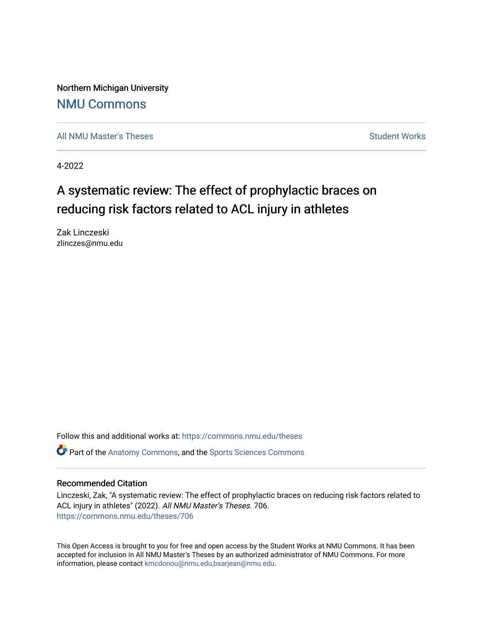Northern Michigan University [NMU Commons](https://commons.nmu.edu/) 

[All NMU Master's Theses](https://commons.nmu.edu/theses) [Student Works](https://commons.nmu.edu/student_works) Student Works Student Works

4-2022

# A systematic review: The effect of prophylactic braces on reducing risk factors related to ACL injury in athletes

Zak Linczeski zlinczes@nmu.edu

Follow this and additional works at: [https://commons.nmu.edu/theses](https://commons.nmu.edu/theses?utm_source=commons.nmu.edu%2Ftheses%2F706&utm_medium=PDF&utm_campaign=PDFCoverPages)

**P** Part of the [Anatomy Commons,](http://network.bepress.com/hgg/discipline/903?utm_source=commons.nmu.edu%2Ftheses%2F706&utm_medium=PDF&utm_campaign=PDFCoverPages) and the [Sports Sciences Commons](http://network.bepress.com/hgg/discipline/759?utm_source=commons.nmu.edu%2Ftheses%2F706&utm_medium=PDF&utm_campaign=PDFCoverPages)

#### Recommended Citation

Linczeski, Zak, "A systematic review: The effect of prophylactic braces on reducing risk factors related to ACL injury in athletes" (2022). All NMU Master's Theses. 706. [https://commons.nmu.edu/theses/706](https://commons.nmu.edu/theses/706?utm_source=commons.nmu.edu%2Ftheses%2F706&utm_medium=PDF&utm_campaign=PDFCoverPages) 

This Open Access is brought to you for free and open access by the Student Works at NMU Commons. It has been accepted for inclusion in All NMU Master's Theses by an authorized administrator of NMU Commons. For more information, please contact [kmcdonou@nmu.edu,bsarjean@nmu.edu](mailto:kmcdonou@nmu.edu,bsarjean@nmu.edu).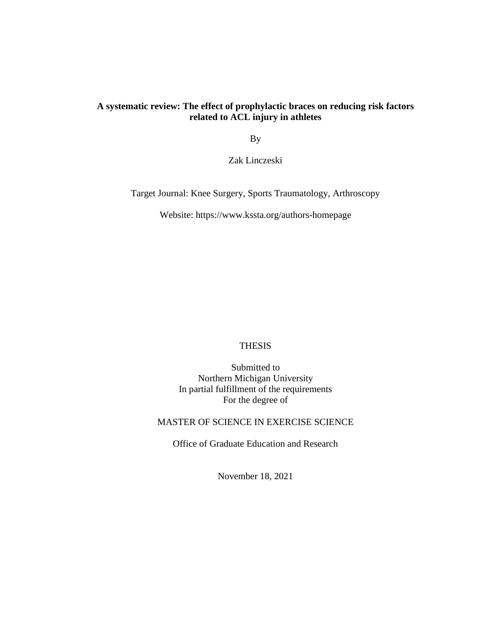# **A systematic review: The effect of prophylactic braces on reducing risk factors related to ACL injury in athletes**

By

Zak Linczeski

Target Journal: Knee Surgery, Sports Traumatology, Arthroscopy

Website: https://www.kssta.org/authors-homepage

### THESIS

Submitted to Northern Michigan University In partial fulfillment of the requirements For the degree of

MASTER OF SCIENCE IN EXERCISE SCIENCE

Office of Graduate Education and Research

November 18, 2021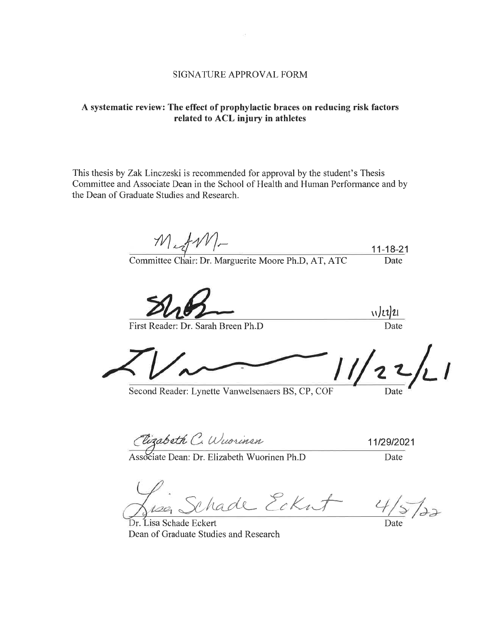# A systematic review: The effect of prophylactic braces on reducing risk factors related to ACL injury in athletes

This thesis by Zak Linczeski is recommended for approval by the student's Thesis Committee and Associate Dean in the School of Health and Human Performance and by the Dean of Graduate Studies and Research.

 $M_{\star}$  fM- $11 - 18 - 21$ Date

Committee Chair: Dr. Marguerite Moore Ph.D, AT, ATC

First Reader: Dr. Sarah Breen Ph.D

Second Reader: Lynette Vanwelsenaers BS, CP, COF

Date

 $\sqrt{2221}$ **Date** 

Elizabeth C. Wuorinen

11/29/2021 Date

Associate Dean: Dr. Elizabeth Wuorinen Ph.D

Schade Ecknt

122

Dr. Lisa Schade Eckert Dean of Graduate Studies and Research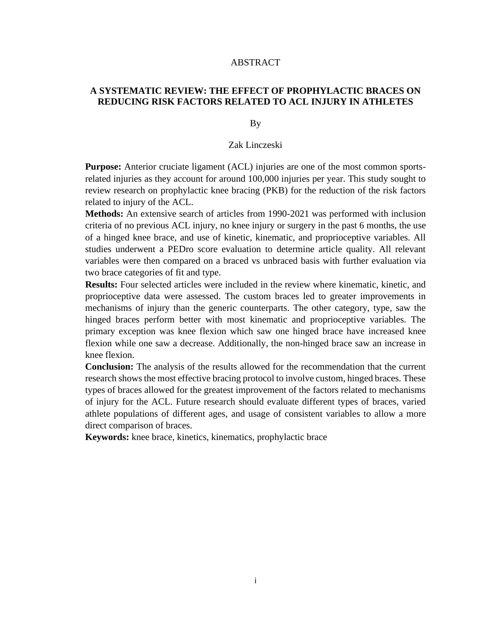#### ABSTRACT

# **A SYSTEMATIC REVIEW: THE EFFECT OF PROPHYLACTIC BRACES ON REDUCING RISK FACTORS RELATED TO ACL INJURY IN ATHLETES**

By

### Zak Linczeski

**Purpose:** Anterior cruciate ligament (ACL) injuries are one of the most common sportsrelated injuries as they account for around 100,000 injuries per year. This study sought to review research on prophylactic knee bracing (PKB) for the reduction of the risk factors related to injury of the ACL.

**Methods:** An extensive search of articles from 1990-2021 was performed with inclusion criteria of no previous ACL injury, no knee injury or surgery in the past 6 months, the use of a hinged knee brace, and use of kinetic, kinematic, and proprioceptive variables. All studies underwent a PEDro score evaluation to determine article quality. All relevant variables were then compared on a braced vs unbraced basis with further evaluation via two brace categories of fit and type.

**Results:** Four selected articles were included in the review where kinematic, kinetic, and proprioceptive data were assessed. The custom braces led to greater improvements in mechanisms of injury than the generic counterparts. The other category, type, saw the hinged braces perform better with most kinematic and proprioceptive variables. The primary exception was knee flexion which saw one hinged brace have increased knee flexion while one saw a decrease. Additionally, the non-hinged brace saw an increase in knee flexion.

**Conclusion:** The analysis of the results allowed for the recommendation that the current research shows the most effective bracing protocol to involve custom, hinged braces. These types of braces allowed for the greatest improvement of the factors related to mechanisms of injury for the ACL. Future research should evaluate different types of braces, varied athlete populations of different ages, and usage of consistent variables to allow a more direct comparison of braces.

**Keywords:** knee brace, kinetics, kinematics, prophylactic brace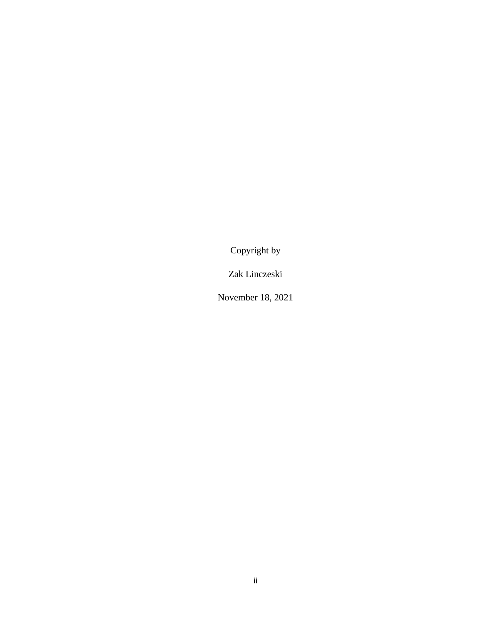Copyright by

Zak Linczeski

November 18, 2021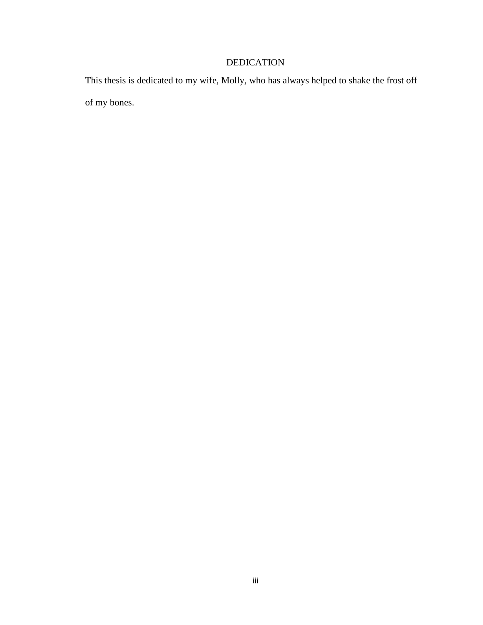# DEDICATION

This thesis is dedicated to my wife, Molly, who has always helped to shake the frost off of my bones.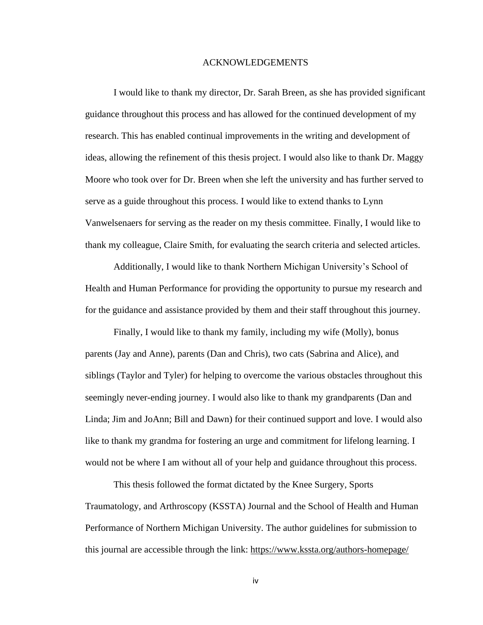#### ACKNOWLEDGEMENTS

I would like to thank my director, Dr. Sarah Breen, as she has provided significant guidance throughout this process and has allowed for the continued development of my research. This has enabled continual improvements in the writing and development of ideas, allowing the refinement of this thesis project. I would also like to thank Dr. Maggy Moore who took over for Dr. Breen when she left the university and has further served to serve as a guide throughout this process. I would like to extend thanks to Lynn Vanwelsenaers for serving as the reader on my thesis committee. Finally, I would like to thank my colleague, Claire Smith, for evaluating the search criteria and selected articles.

Additionally, I would like to thank Northern Michigan University's School of Health and Human Performance for providing the opportunity to pursue my research and for the guidance and assistance provided by them and their staff throughout this journey.

Finally, I would like to thank my family, including my wife (Molly), bonus parents (Jay and Anne), parents (Dan and Chris), two cats (Sabrina and Alice), and siblings (Taylor and Tyler) for helping to overcome the various obstacles throughout this seemingly never-ending journey. I would also like to thank my grandparents (Dan and Linda; Jim and JoAnn; Bill and Dawn) for their continued support and love. I would also like to thank my grandma for fostering an urge and commitment for lifelong learning. I would not be where I am without all of your help and guidance throughout this process.

This thesis followed the format dictated by the Knee Surgery, Sports Traumatology, and Arthroscopy (KSSTA) Journal and the School of Health and Human Performance of Northern Michigan University. The author guidelines for submission to this journal are accessible through the link: <https://www.kssta.org/authors-homepage/>

iv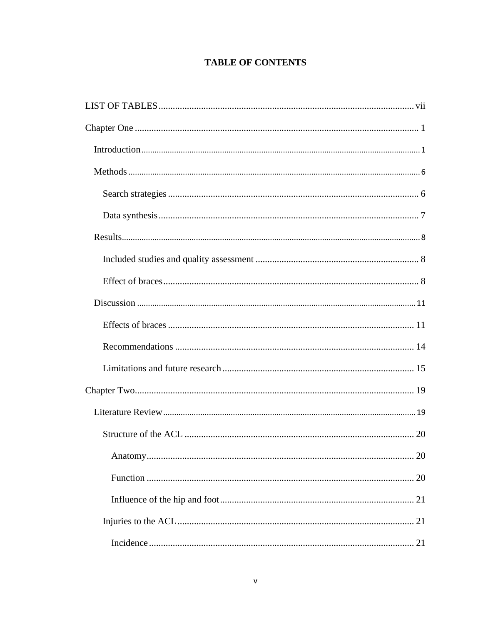# **TABLE OF CONTENTS**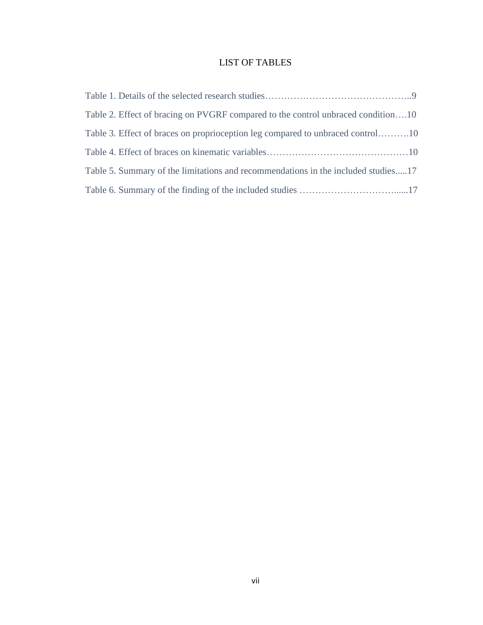# LIST OF TABLES

<span id="page-9-0"></span>

| Table 2. Effect of bracing on PVGRF compared to the control unbraced condition10  |
|-----------------------------------------------------------------------------------|
| Table 3. Effect of braces on proprioception leg compared to unbraced control10    |
|                                                                                   |
| Table 5. Summary of the limitations and recommendations in the included studies17 |
|                                                                                   |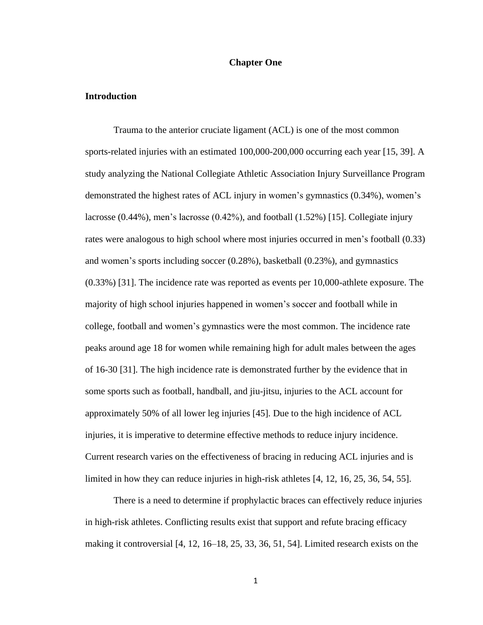#### **Chapter One**

#### <span id="page-10-1"></span><span id="page-10-0"></span>**Introduction**

Trauma to the anterior cruciate ligament (ACL) is one of the most common sports-related injuries with an estimated 100,000-200,000 occurring each year [15, 39]. A study analyzing the National Collegiate Athletic Association Injury Surveillance Program demonstrated the highest rates of ACL injury in women's gymnastics (0.34%), women's lacrosse (0.44%), men's lacrosse (0.42%), and football (1.52%) [15]. Collegiate injury rates were analogous to high school where most injuries occurred in men's football (0.33) and women's sports including soccer (0.28%), basketball (0.23%), and gymnastics (0.33%) [31]. The incidence rate was reported as events per 10,000-athlete exposure. The majority of high school injuries happened in women's soccer and football while in college, football and women's gymnastics were the most common. The incidence rate peaks around age 18 for women while remaining high for adult males between the ages of 16-30 [31]. The high incidence rate is demonstrated further by the evidence that in some sports such as football, handball, and jiu-jitsu, injuries to the ACL account for approximately 50% of all lower leg injuries [45]. Due to the high incidence of ACL injuries, it is imperative to determine effective methods to reduce injury incidence. Current research varies on the effectiveness of bracing in reducing ACL injuries and is limited in how they can reduce injuries in high-risk athletes [4, 12, 16, 25, 36, 54, 55].

There is a need to determine if prophylactic braces can effectively reduce injuries in high-risk athletes. Conflicting results exist that support and refute bracing efficacy making it controversial [4, 12, 16–18, 25, 33, 36, 51, 54]. Limited research exists on the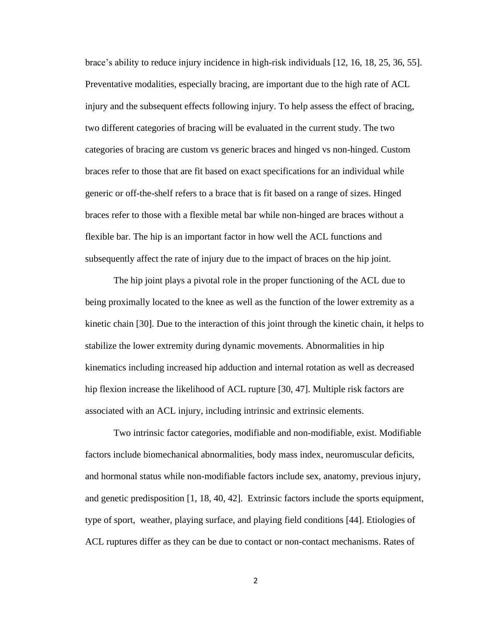brace's ability to reduce injury incidence in high-risk individuals [12, 16, 18, 25, 36, 55]. Preventative modalities, especially bracing, are important due to the high rate of ACL injury and the subsequent effects following injury. To help assess the effect of bracing, two different categories of bracing will be evaluated in the current study. The two categories of bracing are custom vs generic braces and hinged vs non-hinged. Custom braces refer to those that are fit based on exact specifications for an individual while generic or off-the-shelf refers to a brace that is fit based on a range of sizes. Hinged braces refer to those with a flexible metal bar while non-hinged are braces without a flexible bar. The hip is an important factor in how well the ACL functions and subsequently affect the rate of injury due to the impact of braces on the hip joint.

The hip joint plays a pivotal role in the proper functioning of the ACL due to being proximally located to the knee as well as the function of the lower extremity as a kinetic chain [30]. Due to the interaction of this joint through the kinetic chain, it helps to stabilize the lower extremity during dynamic movements. Abnormalities in hip kinematics including increased hip adduction and internal rotation as well as decreased hip flexion increase the likelihood of ACL rupture [30, 47]. Multiple risk factors are associated with an ACL injury, including intrinsic and extrinsic elements.

Two intrinsic factor categories, modifiable and non-modifiable, exist. Modifiable factors include biomechanical abnormalities, body mass index, neuromuscular deficits, and hormonal status while non-modifiable factors include sex, anatomy, previous injury, and genetic predisposition [1, 18, 40, 42]. Extrinsic factors include the sports equipment, type of sport, weather, playing surface, and playing field conditions [44]. Etiologies of ACL ruptures differ as they can be due to contact or non-contact mechanisms. Rates of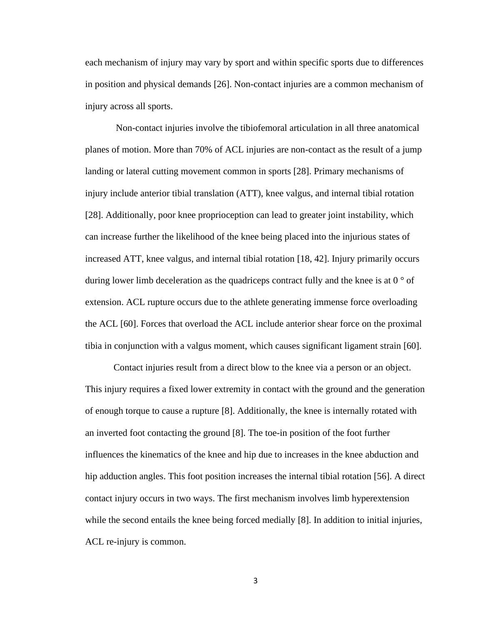each mechanism of injury may vary by sport and within specific sports due to differences in position and physical demands [26]. Non-contact injuries are a common mechanism of injury across all sports.

Non-contact injuries involve the tibiofemoral articulation in all three anatomical planes of motion. More than 70% of ACL injuries are non-contact as the result of a jump landing or lateral cutting movement common in sports [28]. Primary mechanisms of injury include anterior tibial translation (ATT), knee valgus, and internal tibial rotation [28]. Additionally, poor knee proprioception can lead to greater joint instability, which can increase further the likelihood of the knee being placed into the injurious states of increased ATT, knee valgus, and internal tibial rotation [18, 42]. Injury primarily occurs during lower limb deceleration as the quadriceps contract fully and the knee is at  $0^{\circ}$  of extension. ACL rupture occurs due to the athlete generating immense force overloading the ACL [60]. Forces that overload the ACL include anterior shear force on the proximal tibia in conjunction with a valgus moment, which causes significant ligament strain [60].

Contact injuries result from a direct blow to the knee via a person or an object. This injury requires a fixed lower extremity in contact with the ground and the generation of enough torque to cause a rupture [8]. Additionally, the knee is internally rotated with an inverted foot contacting the ground [8]. The toe-in position of the foot further influences the kinematics of the knee and hip due to increases in the knee abduction and hip adduction angles. This foot position increases the internal tibial rotation [56]. A direct contact injury occurs in two ways. The first mechanism involves limb hyperextension while the second entails the knee being forced medially [8]. In addition to initial injuries, ACL re-injury is common.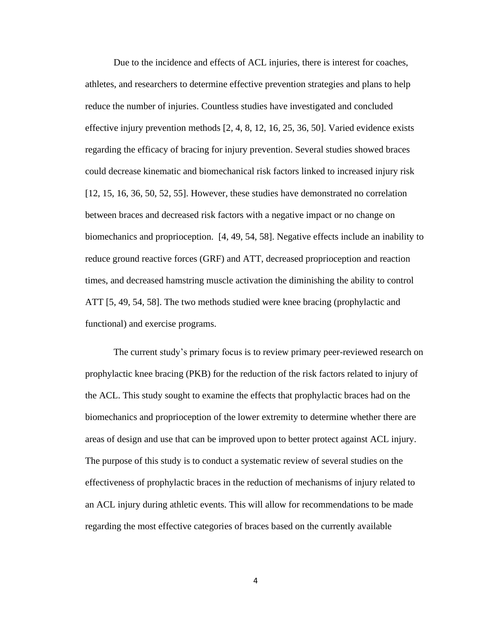Due to the incidence and effects of ACL injuries, there is interest for coaches, athletes, and researchers to determine effective prevention strategies and plans to help reduce the number of injuries. Countless studies have investigated and concluded effective injury prevention methods [2, 4, 8, 12, 16, 25, 36, 50]. Varied evidence exists regarding the efficacy of bracing for injury prevention. Several studies showed braces could decrease kinematic and biomechanical risk factors linked to increased injury risk [12, 15, 16, 36, 50, 52, 55]. However, these studies have demonstrated no correlation between braces and decreased risk factors with a negative impact or no change on biomechanics and proprioception. [4, 49, 54, 58]. Negative effects include an inability to reduce ground reactive forces (GRF) and ATT, decreased proprioception and reaction times, and decreased hamstring muscle activation the diminishing the ability to control ATT [5, 49, 54, 58]. The two methods studied were knee bracing (prophylactic and functional) and exercise programs.

The current study's primary focus is to review primary peer-reviewed research on prophylactic knee bracing (PKB) for the reduction of the risk factors related to injury of the ACL. This study sought to examine the effects that prophylactic braces had on the biomechanics and proprioception of the lower extremity to determine whether there are areas of design and use that can be improved upon to better protect against ACL injury. The purpose of this study is to conduct a systematic review of several studies on the effectiveness of prophylactic braces in the reduction of mechanisms of injury related to an ACL injury during athletic events. This will allow for recommendations to be made regarding the most effective categories of braces based on the currently available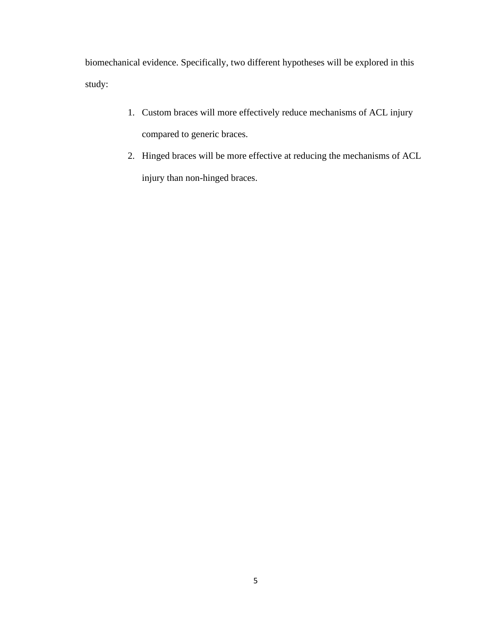biomechanical evidence. Specifically, two different hypotheses will be explored in this study:

- 1. Custom braces will more effectively reduce mechanisms of ACL injury compared to generic braces.
- 2. Hinged braces will be more effective at reducing the mechanisms of ACL injury than non-hinged braces.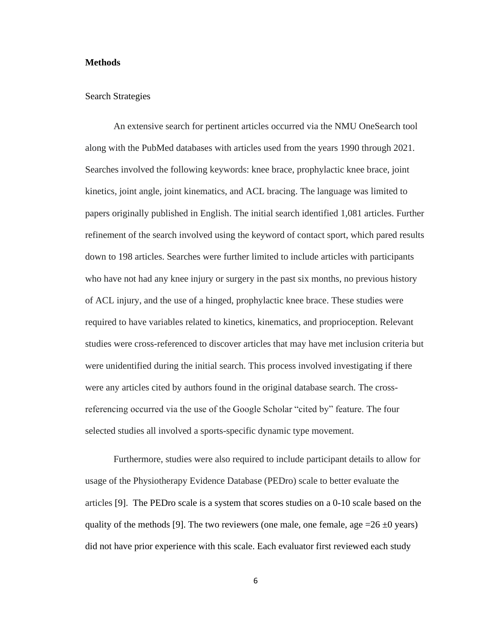#### <span id="page-15-0"></span>**Methods**

#### <span id="page-15-1"></span>Search Strategies

An extensive search for pertinent articles occurred via the NMU OneSearch tool along with the PubMed databases with articles used from the years 1990 through 2021. Searches involved the following keywords: knee brace, prophylactic knee brace, joint kinetics, joint angle, joint kinematics, and ACL bracing. The language was limited to papers originally published in English. The initial search identified 1,081 articles. Further refinement of the search involved using the keyword of contact sport, which pared results down to 198 articles. Searches were further limited to include articles with participants who have not had any knee injury or surgery in the past six months, no previous history of ACL injury, and the use of a hinged, prophylactic knee brace. These studies were required to have variables related to kinetics, kinematics, and proprioception. Relevant studies were cross-referenced to discover articles that may have met inclusion criteria but were unidentified during the initial search. This process involved investigating if there were any articles cited by authors found in the original database search. The crossreferencing occurred via the use of the Google Scholar "cited by" feature. The four selected studies all involved a sports-specific dynamic type movement.

Furthermore, studies were also required to include participant details to allow for usage of the Physiotherapy Evidence Database (PEDro) scale to better evaluate the articles [9]. The PEDro scale is a system that scores studies on a 0-10 scale based on the quality of the methods [9]. The two reviewers (one male, one female, age  $=26 \pm 0$  years) did not have prior experience with this scale. Each evaluator first reviewed each study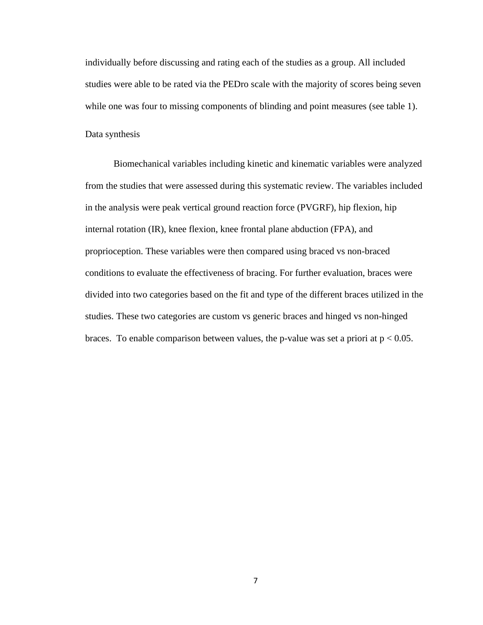individually before discussing and rating each of the studies as a group. All included studies were able to be rated via the PEDro scale with the majority of scores being seven while one was four to missing components of blinding and point measures (see table 1).

<span id="page-16-0"></span>Data synthesis

Biomechanical variables including kinetic and kinematic variables were analyzed from the studies that were assessed during this systematic review. The variables included in the analysis were peak vertical ground reaction force (PVGRF), hip flexion, hip internal rotation (IR), knee flexion, knee frontal plane abduction (FPA), and proprioception. These variables were then compared using braced vs non-braced conditions to evaluate the effectiveness of bracing. For further evaluation, braces were divided into two categories based on the fit and type of the different braces utilized in the studies. These two categories are custom vs generic braces and hinged vs non-hinged braces. To enable comparison between values, the p-value was set a priori at  $p < 0.05$ .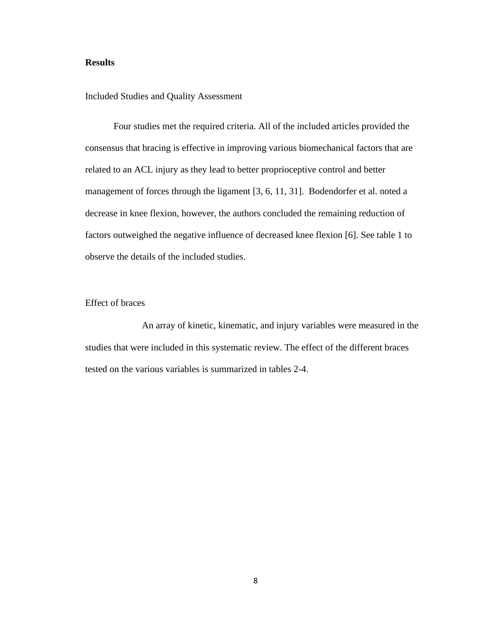### <span id="page-17-0"></span>**Results**

<span id="page-17-1"></span>Included Studies and Quality Assessment

Four studies met the required criteria. All of the included articles provided the consensus that bracing is effective in improving various biomechanical factors that are related to an ACL injury as they lead to better proprioceptive control and better management of forces through the ligament [3, 6, 11, 31]. Bodendorfer et al. noted a decrease in knee flexion, however, the authors concluded the remaining reduction of factors outweighed the negative influence of decreased knee flexion [6]. See table 1 to observe the details of the included studies.

#### <span id="page-17-2"></span>Effect of braces

An array of kinetic, kinematic, and injury variables were measured in the studies that were included in this systematic review. The effect of the different braces tested on the various variables is summarized in tables 2-4.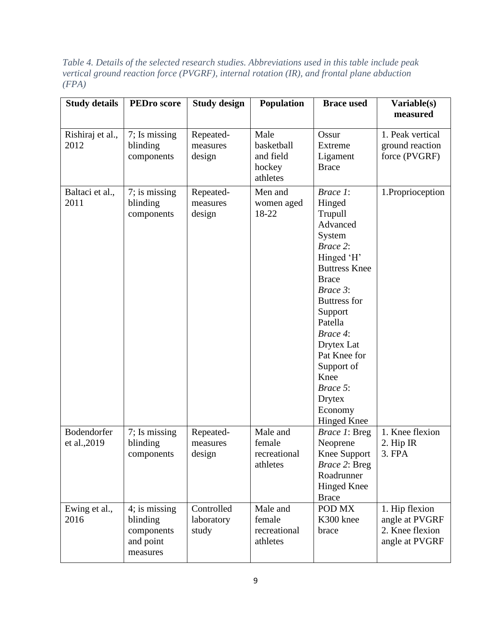*Table 4. Details of the selected research studies. Abbreviations used in this table include peak vertical ground reaction force (PVGRF), internal rotation (IR), and frontal plane abduction (FPA)*

| <b>Study details</b>        | <b>PEDro</b> score                                               | <b>Study design</b>               | <b>Population</b>                                     | <b>Brace used</b>                                                                                                                                                                                                                                                                                     | Variable(s)<br>measured                                               |
|-----------------------------|------------------------------------------------------------------|-----------------------------------|-------------------------------------------------------|-------------------------------------------------------------------------------------------------------------------------------------------------------------------------------------------------------------------------------------------------------------------------------------------------------|-----------------------------------------------------------------------|
|                             |                                                                  |                                   |                                                       |                                                                                                                                                                                                                                                                                                       |                                                                       |
| Rishiraj et al.,<br>2012    | 7; Is missing<br>blinding<br>components                          | Repeated-<br>measures<br>design   | Male<br>basketball<br>and field<br>hockey<br>athletes | Ossur<br>Extreme<br>Ligament<br><b>Brace</b>                                                                                                                                                                                                                                                          | 1. Peak vertical<br>ground reaction<br>force (PVGRF)                  |
| Baltaci et al.,<br>2011     | 7; is missing<br>blinding<br>components                          | Repeated-<br>measures<br>design   | Men and<br>women aged<br>18-22                        | Brace 1:<br>Hinged<br>Trupull<br>Advanced<br>System<br>Brace 2:<br>Hinged 'H'<br><b>Buttress Knee</b><br><b>Brace</b><br>Brace 3:<br><b>Buttress for</b><br>Support<br>Patella<br>Brace 4:<br>Drytex Lat<br>Pat Knee for<br>Support of<br>Knee<br>Brace 5:<br>Drytex<br>Economy<br><b>Hinged Knee</b> | 1.Proprioception                                                      |
| Bodendorfer<br>et al., 2019 | 7; Is missing<br>blinding<br>components                          | Repeated-<br>measures<br>design   | Male and<br>female<br>recreational<br>athletes        | Brace 1: Breg<br>Neoprene<br><b>Knee Support</b><br>Brace 2: Breg<br>Roadrunner<br><b>Hinged Knee</b><br><b>Brace</b>                                                                                                                                                                                 | 1. Knee flexion<br>2. Hip IR<br>$3.$ FPA                              |
| Ewing et al.,<br>2016       | 4; is missing<br>blinding<br>components<br>and point<br>measures | Controlled<br>laboratory<br>study | Male and<br>female<br>recreational<br>athletes        | POD MX<br>K300 knee<br>brace                                                                                                                                                                                                                                                                          | 1. Hip flexion<br>angle at PVGRF<br>2. Knee flexion<br>angle at PVGRF |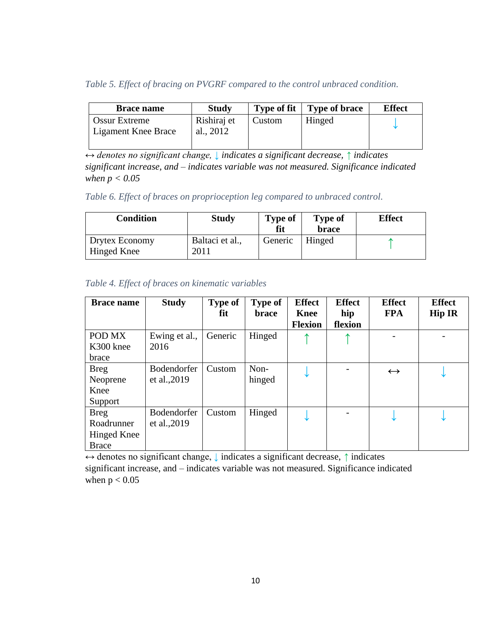*Table 5. Effect of bracing on PVGRF compared to the control unbraced condition.* 

| <b>Brace name</b>                           | <b>Study</b>             | <b>Type of fit</b> | <b>Type of brace</b> | <b>Effect</b> |
|---------------------------------------------|--------------------------|--------------------|----------------------|---------------|
| <b>Ossur Extreme</b><br>Ligament Knee Brace | Rishiraj et<br>al., 2012 | Custom             | Hinged               |               |

*↔ denotes no significant change, ↓ indicates a significant decrease, ↑ indicates significant increase, and – indicates variable was not measured. Significance indicated when p < 0.05*

*Table 6. Effect of braces on proprioception leg compared to unbraced control.* 

| Condition                     | <b>Study</b>            | <b>Type of</b><br>fit | <b>Type of</b><br><b>brace</b> | <b>Effect</b> |
|-------------------------------|-------------------------|-----------------------|--------------------------------|---------------|
| Drytex Economy<br>Hinged Knee | Baltaci et al.,<br>2011 | Generic               | Hinged                         |               |

| <b>Brace name</b>  | <b>Study</b>  | <b>Type of</b> | <b>Type of</b> | <b>Effect</b>  | <b>Effect</b> | <b>Effect</b>     | <b>Effect</b> |
|--------------------|---------------|----------------|----------------|----------------|---------------|-------------------|---------------|
|                    |               | fit            | <b>brace</b>   | <b>Knee</b>    | hip           | <b>FPA</b>        | <b>Hip IR</b> |
|                    |               |                |                | <b>Flexion</b> | flexion       |                   |               |
| POD MX             | Ewing et al., | Generic        | Hinged         |                |               |                   |               |
| K300 knee          | 2016          |                |                |                |               |                   |               |
| brace              |               |                |                |                |               |                   |               |
| <b>Breg</b>        | Bodendorfer   | Custom         | Non-           |                |               | $\leftrightarrow$ |               |
| Neoprene           | et al., 2019  |                | hinged         |                |               |                   |               |
| Knee               |               |                |                |                |               |                   |               |
| Support            |               |                |                |                |               |                   |               |
| <b>Breg</b>        | Bodendorfer   | Custom         | Hinged         |                |               |                   |               |
| Roadrunner         | et al., 2019  |                |                |                |               |                   |               |
| <b>Hinged Knee</b> |               |                |                |                |               |                   |               |
| <b>Brace</b>       |               |                |                |                |               |                   |               |

 $\leftrightarrow$  denotes no significant change,  $\downarrow$  indicates a significant decrease,  $\uparrow$  indicates significant increase, and – indicates variable was not measured. Significance indicated when  $p < 0.05$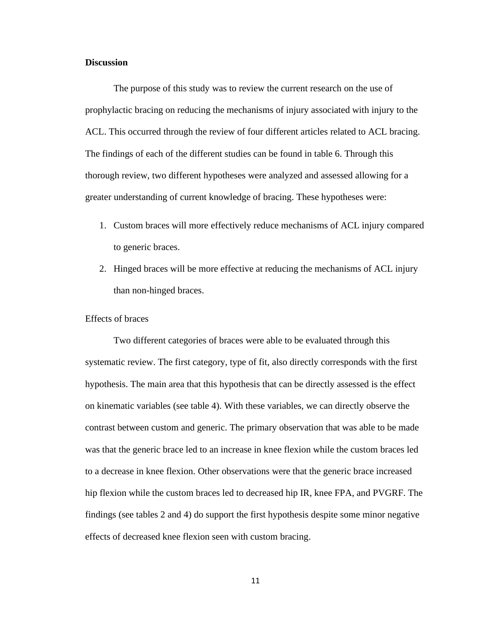#### <span id="page-20-0"></span>**Discussion**

The purpose of this study was to review the current research on the use of prophylactic bracing on reducing the mechanisms of injury associated with injury to the ACL. This occurred through the review of four different articles related to ACL bracing. The findings of each of the different studies can be found in table 6. Through this thorough review, two different hypotheses were analyzed and assessed allowing for a greater understanding of current knowledge of bracing. These hypotheses were:

- 1. Custom braces will more effectively reduce mechanisms of ACL injury compared to generic braces.
- 2. Hinged braces will be more effective at reducing the mechanisms of ACL injury than non-hinged braces.

#### <span id="page-20-1"></span>Effects of braces

Two different categories of braces were able to be evaluated through this systematic review. The first category, type of fit, also directly corresponds with the first hypothesis. The main area that this hypothesis that can be directly assessed is the effect on kinematic variables (see table 4). With these variables, we can directly observe the contrast between custom and generic. The primary observation that was able to be made was that the generic brace led to an increase in knee flexion while the custom braces led to a decrease in knee flexion. Other observations were that the generic brace increased hip flexion while the custom braces led to decreased hip IR, knee FPA, and PVGRF. The findings (see tables 2 and 4) do support the first hypothesis despite some minor negative effects of decreased knee flexion seen with custom bracing.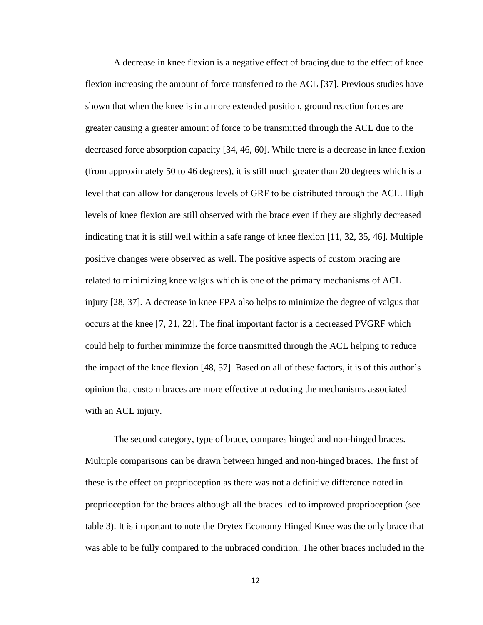A decrease in knee flexion is a negative effect of bracing due to the effect of knee flexion increasing the amount of force transferred to the ACL [37]. Previous studies have shown that when the knee is in a more extended position, ground reaction forces are greater causing a greater amount of force to be transmitted through the ACL due to the decreased force absorption capacity [34, 46, 60]. While there is a decrease in knee flexion (from approximately 50 to 46 degrees), it is still much greater than 20 degrees which is a level that can allow for dangerous levels of GRF to be distributed through the ACL. High levels of knee flexion are still observed with the brace even if they are slightly decreased indicating that it is still well within a safe range of knee flexion [11, 32, 35, 46]. Multiple positive changes were observed as well. The positive aspects of custom bracing are related to minimizing knee valgus which is one of the primary mechanisms of ACL injury [28, 37]. A decrease in knee FPA also helps to minimize the degree of valgus that occurs at the knee [7, 21, 22]. The final important factor is a decreased PVGRF which could help to further minimize the force transmitted through the ACL helping to reduce the impact of the knee flexion [48, 57]. Based on all of these factors, it is of this author's opinion that custom braces are more effective at reducing the mechanisms associated with an ACL injury.

The second category, type of brace, compares hinged and non-hinged braces. Multiple comparisons can be drawn between hinged and non-hinged braces. The first of these is the effect on proprioception as there was not a definitive difference noted in proprioception for the braces although all the braces led to improved proprioception (see table 3). It is important to note the Drytex Economy Hinged Knee was the only brace that was able to be fully compared to the unbraced condition. The other braces included in the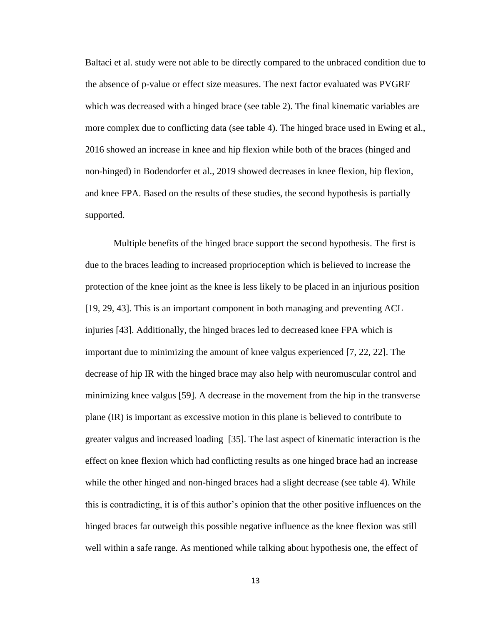Baltaci et al. study were not able to be directly compared to the unbraced condition due to the absence of p-value or effect size measures. The next factor evaluated was PVGRF which was decreased with a hinged brace (see table 2). The final kinematic variables are more complex due to conflicting data (see table 4). The hinged brace used in Ewing et al., 2016 showed an increase in knee and hip flexion while both of the braces (hinged and non-hinged) in Bodendorfer et al., 2019 showed decreases in knee flexion, hip flexion, and knee FPA. Based on the results of these studies, the second hypothesis is partially supported.

Multiple benefits of the hinged brace support the second hypothesis. The first is due to the braces leading to increased proprioception which is believed to increase the protection of the knee joint as the knee is less likely to be placed in an injurious position [19, 29, 43]. This is an important component in both managing and preventing ACL injuries [43]. Additionally, the hinged braces led to decreased knee FPA which is important due to minimizing the amount of knee valgus experienced [7, 22, 22]. The decrease of hip IR with the hinged brace may also help with neuromuscular control and minimizing knee valgus [59]. A decrease in the movement from the hip in the transverse plane (IR) is important as excessive motion in this plane is believed to contribute to greater valgus and increased loading [35]. The last aspect of kinematic interaction is the effect on knee flexion which had conflicting results as one hinged brace had an increase while the other hinged and non-hinged braces had a slight decrease (see table 4). While this is contradicting, it is of this author's opinion that the other positive influences on the hinged braces far outweigh this possible negative influence as the knee flexion was still well within a safe range. As mentioned while talking about hypothesis one, the effect of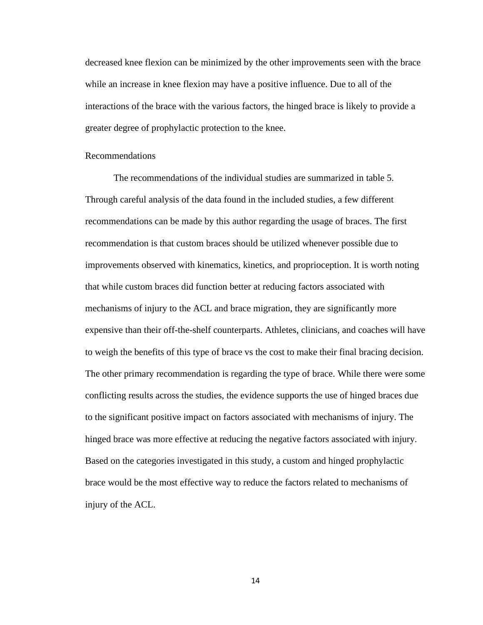decreased knee flexion can be minimized by the other improvements seen with the brace while an increase in knee flexion may have a positive influence. Due to all of the interactions of the brace with the various factors, the hinged brace is likely to provide a greater degree of prophylactic protection to the knee.

### <span id="page-23-0"></span>Recommendations

The recommendations of the individual studies are summarized in table 5. Through careful analysis of the data found in the included studies, a few different recommendations can be made by this author regarding the usage of braces. The first recommendation is that custom braces should be utilized whenever possible due to improvements observed with kinematics, kinetics, and proprioception. It is worth noting that while custom braces did function better at reducing factors associated with mechanisms of injury to the ACL and brace migration, they are significantly more expensive than their off-the-shelf counterparts. Athletes, clinicians, and coaches will have to weigh the benefits of this type of brace vs the cost to make their final bracing decision. The other primary recommendation is regarding the type of brace. While there were some conflicting results across the studies, the evidence supports the use of hinged braces due to the significant positive impact on factors associated with mechanisms of injury. The hinged brace was more effective at reducing the negative factors associated with injury. Based on the categories investigated in this study, a custom and hinged prophylactic brace would be the most effective way to reduce the factors related to mechanisms of injury of the ACL.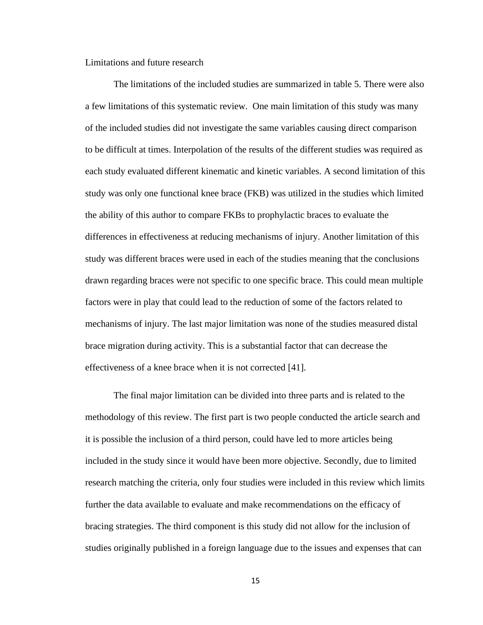<span id="page-24-0"></span>Limitations and future research

The limitations of the included studies are summarized in table 5. There were also a few limitations of this systematic review. One main limitation of this study was many of the included studies did not investigate the same variables causing direct comparison to be difficult at times. Interpolation of the results of the different studies was required as each study evaluated different kinematic and kinetic variables. A second limitation of this study was only one functional knee brace (FKB) was utilized in the studies which limited the ability of this author to compare FKBs to prophylactic braces to evaluate the differences in effectiveness at reducing mechanisms of injury. Another limitation of this study was different braces were used in each of the studies meaning that the conclusions drawn regarding braces were not specific to one specific brace. This could mean multiple factors were in play that could lead to the reduction of some of the factors related to mechanisms of injury. The last major limitation was none of the studies measured distal brace migration during activity. This is a substantial factor that can decrease the effectiveness of a knee brace when it is not corrected [41].

The final major limitation can be divided into three parts and is related to the methodology of this review. The first part is two people conducted the article search and it is possible the inclusion of a third person, could have led to more articles being included in the study since it would have been more objective. Secondly, due to limited research matching the criteria, only four studies were included in this review which limits further the data available to evaluate and make recommendations on the efficacy of bracing strategies. The third component is this study did not allow for the inclusion of studies originally published in a foreign language due to the issues and expenses that can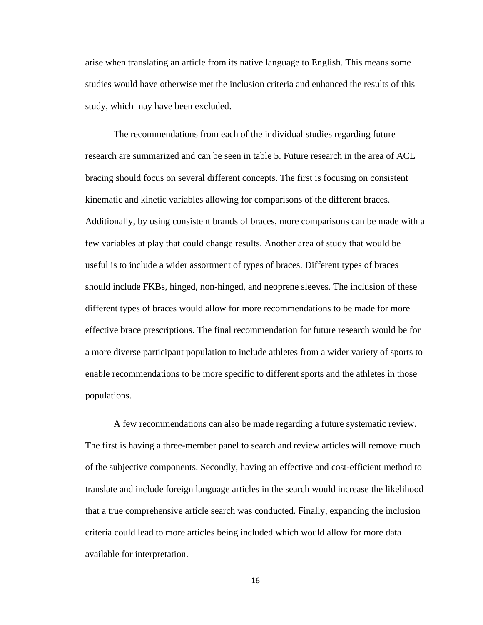arise when translating an article from its native language to English. This means some studies would have otherwise met the inclusion criteria and enhanced the results of this study, which may have been excluded.

The recommendations from each of the individual studies regarding future research are summarized and can be seen in table 5. Future research in the area of ACL bracing should focus on several different concepts. The first is focusing on consistent kinematic and kinetic variables allowing for comparisons of the different braces. Additionally, by using consistent brands of braces, more comparisons can be made with a few variables at play that could change results. Another area of study that would be useful is to include a wider assortment of types of braces. Different types of braces should include FKBs, hinged, non-hinged, and neoprene sleeves. The inclusion of these different types of braces would allow for more recommendations to be made for more effective brace prescriptions. The final recommendation for future research would be for a more diverse participant population to include athletes from a wider variety of sports to enable recommendations to be more specific to different sports and the athletes in those populations.

A few recommendations can also be made regarding a future systematic review. The first is having a three-member panel to search and review articles will remove much of the subjective components. Secondly, having an effective and cost-efficient method to translate and include foreign language articles in the search would increase the likelihood that a true comprehensive article search was conducted. Finally, expanding the inclusion criteria could lead to more articles being included which would allow for more data available for interpretation.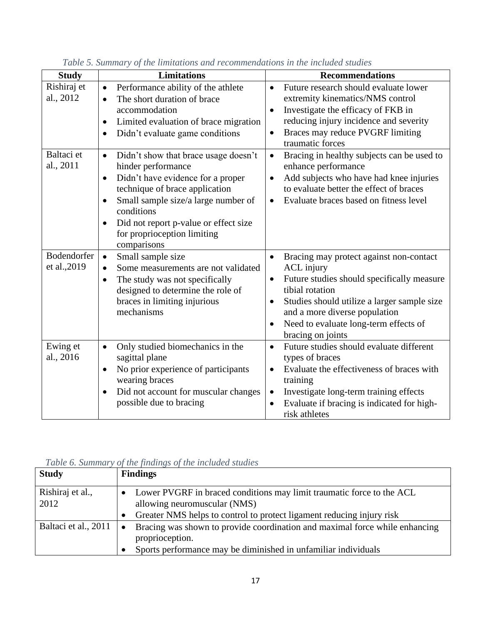| <b>Study</b> | <b>Limitations</b>                                 | <b>Recommendations</b>                                  |
|--------------|----------------------------------------------------|---------------------------------------------------------|
| Rishiraj et  | Performance ability of the athlete<br>$\bullet$    | Future research should evaluate lower<br>$\bullet$      |
| al., 2012    | The short duration of brace<br>$\bullet$           | extremity kinematics/NMS control                        |
|              | accommodation                                      | Investigate the efficacy of FKB in<br>٠                 |
|              | Limited evaluation of brace migration<br>$\bullet$ | reducing injury incidence and severity                  |
|              | Didn't evaluate game conditions<br>$\bullet$       | Braces may reduce PVGRF limiting<br>$\bullet$           |
|              |                                                    | traumatic forces                                        |
| Baltaci et   | Didn't show that brace usage doesn't<br>$\bullet$  | Bracing in healthy subjects can be used to<br>$\bullet$ |
| al., 2011    | hinder performance                                 | enhance performance                                     |
|              | Didn't have evidence for a proper<br>$\bullet$     | Add subjects who have had knee injuries<br>$\bullet$    |
|              | technique of brace application                     | to evaluate better the effect of braces                 |
|              | Small sample size/a large number of<br>$\bullet$   | Evaluate braces based on fitness level<br>$\bullet$     |
|              | conditions                                         |                                                         |
|              | Did not report p-value or effect size<br>$\bullet$ |                                                         |
|              | for proprioception limiting                        |                                                         |
|              | comparisons                                        |                                                         |
| Bodendorfer  | Small sample size<br>$\bullet$                     | Bracing may protect against non-contact<br>$\bullet$    |
| et al., 2019 | Some measurements are not validated<br>$\bullet$   | <b>ACL</b> injury                                       |
|              | The study was not specifically<br>$\bullet$        | Future studies should specifically measure<br>$\bullet$ |
|              | designed to determine the role of                  | tibial rotation                                         |
|              | braces in limiting injurious                       | Studies should utilize a larger sample size<br>٠        |
|              | mechanisms                                         | and a more diverse population                           |
|              |                                                    | Need to evaluate long-term effects of<br>$\bullet$      |
|              |                                                    | bracing on joints                                       |
| Ewing et     | Only studied biomechanics in the<br>$\bullet$      | Future studies should evaluate different<br>$\bullet$   |
| al., 2016    | sagittal plane                                     | types of braces                                         |
|              | No prior experience of participants<br>$\bullet$   | Evaluate the effectiveness of braces with<br>٠          |
|              | wearing braces                                     | training                                                |
|              | Did not account for muscular changes<br>$\bullet$  | Investigate long-term training effects<br>$\bullet$     |
|              | possible due to bracing                            | Evaluate if bracing is indicated for high-<br>$\bullet$ |
|              |                                                    | risk athletes                                           |

*Table 5. Summary of the limitations and recommendations in the included studies* 

# *Table 6. Summary of the findings of the included studies*

| <b>Study</b>         | <b>Findings</b>                                                                                             |
|----------------------|-------------------------------------------------------------------------------------------------------------|
| Rishiraj et al.,     | Lower PVGRF in braced conditions may limit traumatic force to the ACL<br>$\bullet$                          |
| 2012                 | allowing neuromuscular (NMS)                                                                                |
|                      | Greater NMS helps to control to protect ligament reducing injury risk<br>$\bullet$                          |
| Baltaci et al., 2011 | Bracing was shown to provide coordination and maximal force while enhancing<br>$\bullet$<br>proprioception. |
|                      | Sports performance may be diminished in unfamiliar individuals                                              |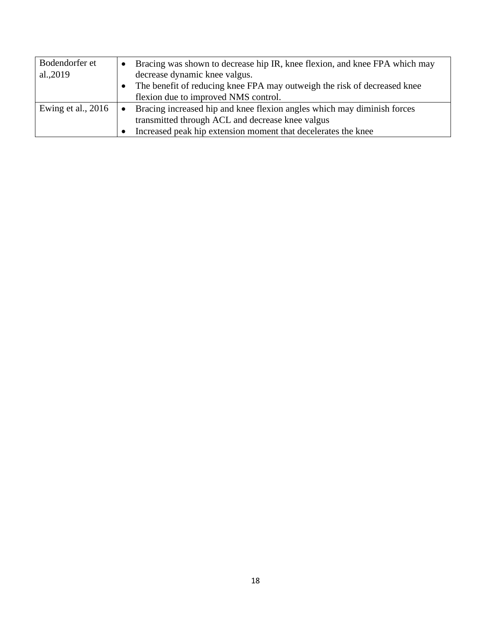<span id="page-27-0"></span>

| Bodendorfer et     | Bracing was shown to decrease hip IR, knee flexion, and knee FPA which may           |
|--------------------|--------------------------------------------------------------------------------------|
| al.,2019           | decrease dynamic knee valgus.                                                        |
|                    | The benefit of reducing knee FPA may outweigh the risk of decreased knee             |
|                    | flexion due to improved NMS control.                                                 |
| Ewing et al., 2016 | Bracing increased hip and knee flexion angles which may diminish forces<br>$\bullet$ |
|                    | transmitted through ACL and decrease knee valgus                                     |
|                    | Increased peak hip extension moment that decelerates the knee                        |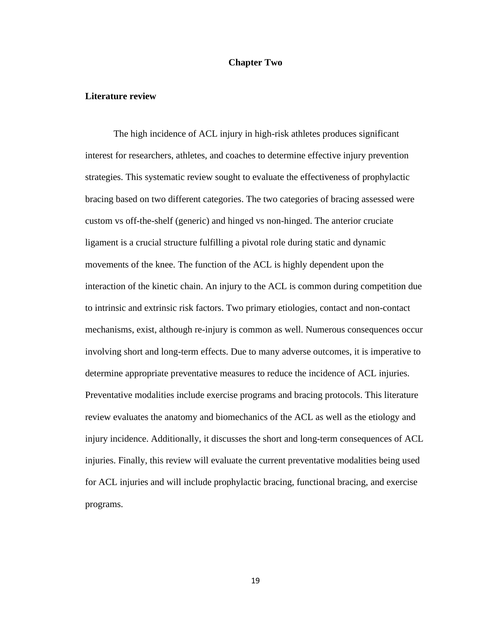#### **Chapter Two**

#### <span id="page-28-0"></span>**Literature review**

The high incidence of ACL injury in high-risk athletes produces significant interest for researchers, athletes, and coaches to determine effective injury prevention strategies. This systematic review sought to evaluate the effectiveness of prophylactic bracing based on two different categories. The two categories of bracing assessed were custom vs off-the-shelf (generic) and hinged vs non-hinged. The anterior cruciate ligament is a crucial structure fulfilling a pivotal role during static and dynamic movements of the knee. The function of the ACL is highly dependent upon the interaction of the kinetic chain. An injury to the ACL is common during competition due to intrinsic and extrinsic risk factors. Two primary etiologies, contact and non-contact mechanisms, exist, although re-injury is common as well. Numerous consequences occur involving short and long-term effects. Due to many adverse outcomes, it is imperative to determine appropriate preventative measures to reduce the incidence of ACL injuries. Preventative modalities include exercise programs and bracing protocols. This literature review evaluates the anatomy and biomechanics of the ACL as well as the etiology and injury incidence. Additionally, it discusses the short and long-term consequences of ACL injuries. Finally, this review will evaluate the current preventative modalities being used for ACL injuries and will include prophylactic bracing, functional bracing, and exercise programs.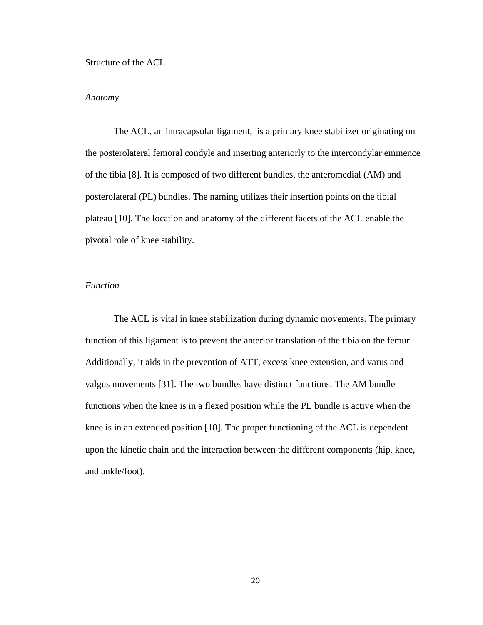<span id="page-29-0"></span>Structure of the ACL

#### <span id="page-29-1"></span>*Anatomy*

The ACL, an intracapsular ligament, is a primary knee stabilizer originating on the posterolateral femoral condyle and inserting anteriorly to the intercondylar eminence of the tibia [8]. It is composed of two different bundles, the anteromedial (AM) and posterolateral (PL) bundles. The naming utilizes their insertion points on the tibial plateau [10]. The location and anatomy of the different facets of the ACL enable the pivotal role of knee stability.

#### <span id="page-29-2"></span>*Function*

The ACL is vital in knee stabilization during dynamic movements. The primary function of this ligament is to prevent the anterior translation of the tibia on the femur. Additionally, it aids in the prevention of ATT, excess knee extension, and varus and valgus movements [31]. The two bundles have distinct functions. The AM bundle functions when the knee is in a flexed position while the PL bundle is active when the knee is in an extended position [10]. The proper functioning of the ACL is dependent upon the kinetic chain and the interaction between the different components (hip, knee, and ankle/foot).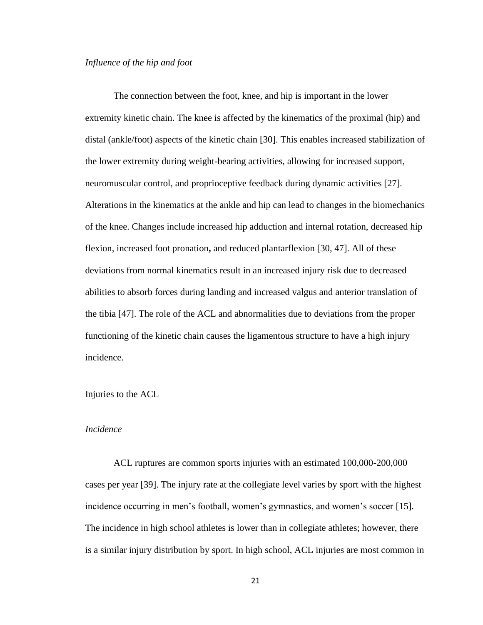#### <span id="page-30-0"></span>*Influence of the hip and foot*

The connection between the foot, knee, and hip is important in the lower extremity kinetic chain. The knee is affected by the kinematics of the proximal (hip) and distal (ankle/foot) aspects of the kinetic chain [30]. This enables increased stabilization of the lower extremity during weight-bearing activities, allowing for increased support, neuromuscular control, and proprioceptive feedback during dynamic activities [27]. Alterations in the kinematics at the ankle and hip can lead to changes in the biomechanics of the knee. Changes include increased hip adduction and internal rotation, decreased hip flexion, increased foot pronation**,** and reduced plantarflexion [30, 47]. All of these deviations from normal kinematics result in an increased injury risk due to decreased abilities to absorb forces during landing and increased valgus and anterior translation of the tibia [47]. The role of the ACL and abnormalities due to deviations from the proper functioning of the kinetic chain causes the ligamentous structure to have a high injury incidence.

#### <span id="page-30-1"></span>Injuries to the ACL

#### <span id="page-30-2"></span>*Incidence*

ACL ruptures are common sports injuries with an estimated 100,000-200,000 cases per year [39]. The injury rate at the collegiate level varies by sport with the highest incidence occurring in men's football, women's gymnastics, and women's soccer [15]. The incidence in high school athletes is lower than in collegiate athletes; however, there is a similar injury distribution by sport. In high school, ACL injuries are most common in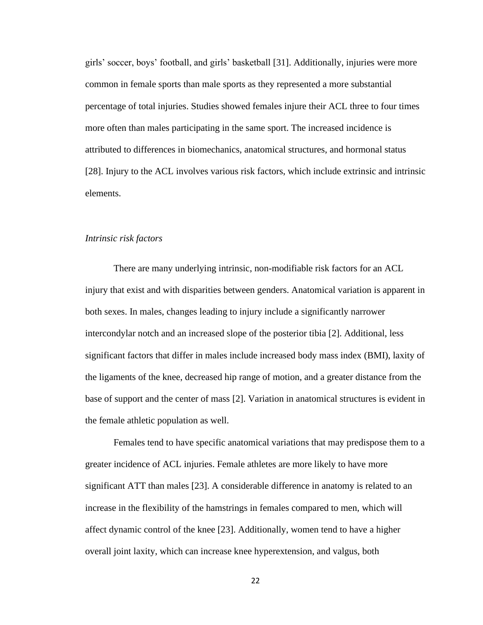girls' soccer, boys' football, and girls' basketball [31]. Additionally, injuries were more common in female sports than male sports as they represented a more substantial percentage of total injuries. Studies showed females injure their ACL three to four times more often than males participating in the same sport. The increased incidence is attributed to differences in biomechanics, anatomical structures, and hormonal status [28]. Injury to the ACL involves various risk factors, which include extrinsic and intrinsic elements.

#### <span id="page-31-0"></span>*Intrinsic risk factors*

There are many underlying intrinsic, non-modifiable risk factors for an ACL injury that exist and with disparities between genders. Anatomical variation is apparent in both sexes. In males, changes leading to injury include a significantly narrower intercondylar notch and an increased slope of the posterior tibia [2]. Additional, less significant factors that differ in males include increased body mass index (BMI), laxity of the ligaments of the knee, decreased hip range of motion, and a greater distance from the base of support and the center of mass [2]. Variation in anatomical structures is evident in the female athletic population as well.

Females tend to have specific anatomical variations that may predispose them to a greater incidence of ACL injuries. Female athletes are more likely to have more significant ATT than males [23]. A considerable difference in anatomy is related to an increase in the flexibility of the hamstrings in females compared to men, which will affect dynamic control of the knee [23]. Additionally, women tend to have a higher overall joint laxity, which can increase knee hyperextension, and valgus, both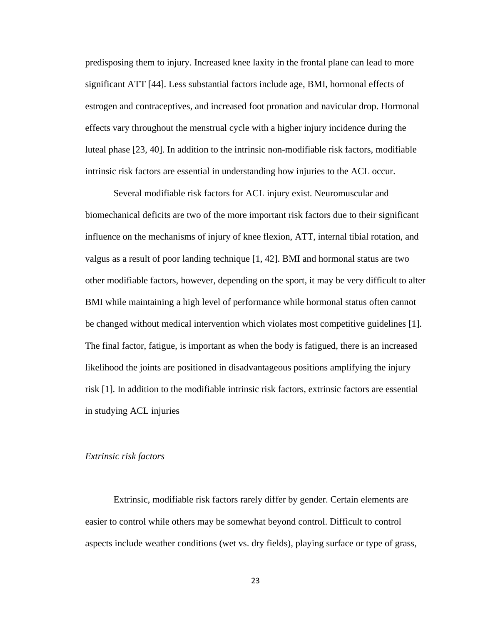predisposing them to injury. Increased knee laxity in the frontal plane can lead to more significant ATT [44]. Less substantial factors include age, BMI, hormonal effects of estrogen and contraceptives, and increased foot pronation and navicular drop. Hormonal effects vary throughout the menstrual cycle with a higher injury incidence during the luteal phase [23, 40]. In addition to the intrinsic non-modifiable risk factors, modifiable intrinsic risk factors are essential in understanding how injuries to the ACL occur.

Several modifiable risk factors for ACL injury exist. Neuromuscular and biomechanical deficits are two of the more important risk factors due to their significant influence on the mechanisms of injury of knee flexion, ATT, internal tibial rotation, and valgus as a result of poor landing technique [1, 42]. BMI and hormonal status are two other modifiable factors, however, depending on the sport, it may be very difficult to alter BMI while maintaining a high level of performance while hormonal status often cannot be changed without medical intervention which violates most competitive guidelines [1]. The final factor, fatigue, is important as when the body is fatigued, there is an increased likelihood the joints are positioned in disadvantageous positions amplifying the injury risk [1]. In addition to the modifiable intrinsic risk factors, extrinsic factors are essential in studying ACL injuries

#### <span id="page-32-0"></span>*Extrinsic risk factors*

Extrinsic, modifiable risk factors rarely differ by gender. Certain elements are easier to control while others may be somewhat beyond control. Difficult to control aspects include weather conditions (wet vs. dry fields), playing surface or type of grass,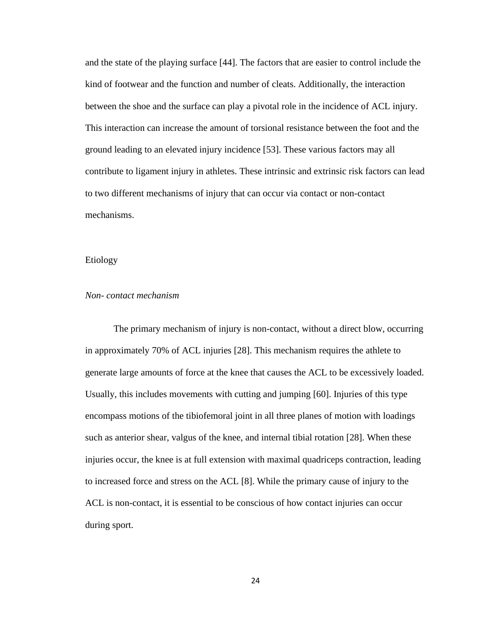and the state of the playing surface [44]. The factors that are easier to control include the kind of footwear and the function and number of cleats. Additionally, the interaction between the shoe and the surface can play a pivotal role in the incidence of ACL injury. This interaction can increase the amount of torsional resistance between the foot and the ground leading to an elevated injury incidence [53]. These various factors may all contribute to ligament injury in athletes. These intrinsic and extrinsic risk factors can lead to two different mechanisms of injury that can occur via contact or non-contact mechanisms.

### <span id="page-33-0"></span>Etiology

#### <span id="page-33-1"></span>*Non- contact mechanism*

The primary mechanism of injury is non-contact, without a direct blow, occurring in approximately 70% of ACL injuries [28]. This mechanism requires the athlete to generate large amounts of force at the knee that causes the ACL to be excessively loaded. Usually, this includes movements with cutting and jumping [60]. Injuries of this type encompass motions of the tibiofemoral joint in all three planes of motion with loadings such as anterior shear, valgus of the knee, and internal tibial rotation [28]. When these injuries occur, the knee is at full extension with maximal quadriceps contraction, leading to increased force and stress on the ACL [8]. While the primary cause of injury to the ACL is non-contact, it is essential to be conscious of how contact injuries can occur during sport.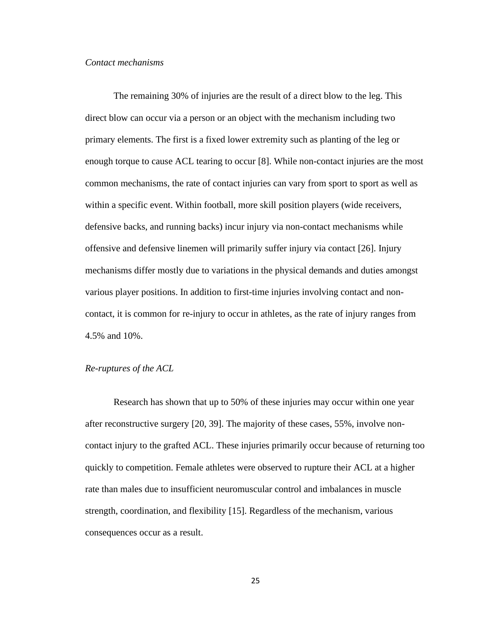#### <span id="page-34-0"></span>*Contact mechanisms*

The remaining 30% of injuries are the result of a direct blow to the leg. This direct blow can occur via a person or an object with the mechanism including two primary elements. The first is a fixed lower extremity such as planting of the leg or enough torque to cause ACL tearing to occur [8]. While non-contact injuries are the most common mechanisms, the rate of contact injuries can vary from sport to sport as well as within a specific event. Within football, more skill position players (wide receivers, defensive backs, and running backs) incur injury via non-contact mechanisms while offensive and defensive linemen will primarily suffer injury via contact [26]. Injury mechanisms differ mostly due to variations in the physical demands and duties amongst various player positions. In addition to first-time injuries involving contact and noncontact, it is common for re-injury to occur in athletes, as the rate of injury ranges from 4.5% and 10%.

#### <span id="page-34-1"></span>*Re-ruptures of the ACL*

Research has shown that up to 50% of these injuries may occur within one year after reconstructive surgery [20, 39]. The majority of these cases, 55%, involve noncontact injury to the grafted ACL. These injuries primarily occur because of returning too quickly to competition. Female athletes were observed to rupture their ACL at a higher rate than males due to insufficient neuromuscular control and imbalances in muscle strength, coordination, and flexibility [15]. Regardless of the mechanism, various consequences occur as a result.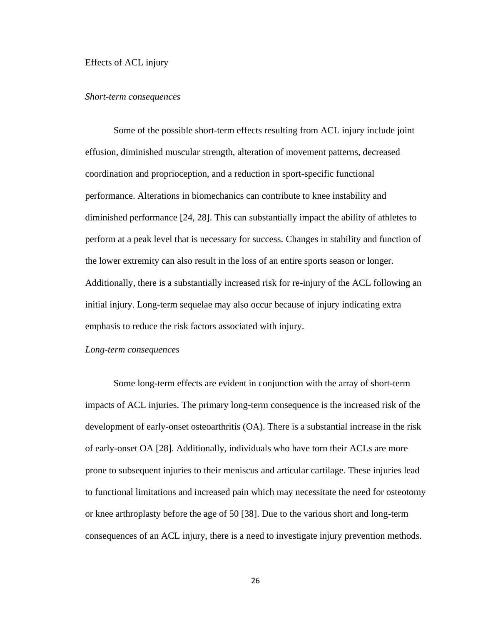<span id="page-35-0"></span>Effects of ACL injury

#### <span id="page-35-1"></span>*Short-term consequences*

Some of the possible short-term effects resulting from ACL injury include joint effusion, diminished muscular strength, alteration of movement patterns, decreased coordination and proprioception, and a reduction in sport-specific functional performance. Alterations in biomechanics can contribute to knee instability and diminished performance [24, 28]. This can substantially impact the ability of athletes to perform at a peak level that is necessary for success. Changes in stability and function of the lower extremity can also result in the loss of an entire sports season or longer. Additionally, there is a substantially increased risk for re-injury of the ACL following an initial injury. Long-term sequelae may also occur because of injury indicating extra emphasis to reduce the risk factors associated with injury.

#### <span id="page-35-2"></span>*Long-term consequences*

Some long-term effects are evident in conjunction with the array of short-term impacts of ACL injuries. The primary long-term consequence is the increased risk of the development of early-onset osteoarthritis (OA). There is a substantial increase in the risk of early-onset OA [28]. Additionally, individuals who have torn their ACLs are more prone to subsequent injuries to their meniscus and articular cartilage. These injuries lead to functional limitations and increased pain which may necessitate the need for osteotomy or knee arthroplasty before the age of 50 [38]. Due to the various short and long-term consequences of an ACL injury, there is a need to investigate injury prevention methods.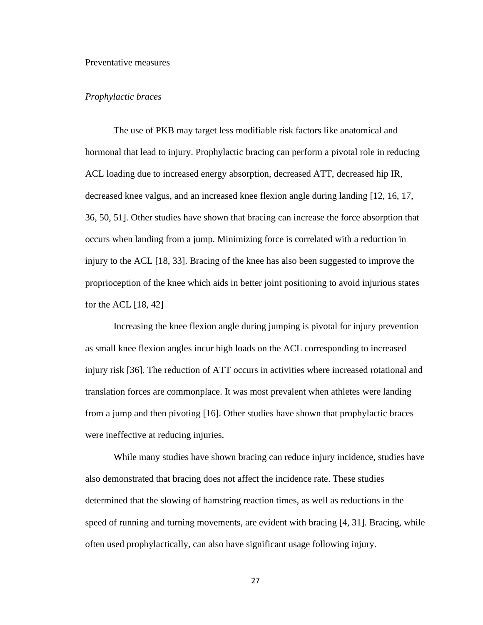#### <span id="page-36-0"></span>Preventative measures

#### <span id="page-36-1"></span>*Prophylactic braces*

The use of PKB may target less modifiable risk factors like anatomical and hormonal that lead to injury. Prophylactic bracing can perform a pivotal role in reducing ACL loading due to increased energy absorption, decreased ATT, decreased hip IR, decreased knee valgus, and an increased knee flexion angle during landing [12, 16, 17, 36, 50, 51]. Other studies have shown that bracing can increase the force absorption that occurs when landing from a jump. Minimizing force is correlated with a reduction in injury to the ACL [18, 33]. Bracing of the knee has also been suggested to improve the proprioception of the knee which aids in better joint positioning to avoid injurious states for the ACL  $[18, 42]$ 

Increasing the knee flexion angle during jumping is pivotal for injury prevention as small knee flexion angles incur high loads on the ACL corresponding to increased injury risk [36]. The reduction of ATT occurs in activities where increased rotational and translation forces are commonplace. It was most prevalent when athletes were landing from a jump and then pivoting [16]. Other studies have shown that prophylactic braces were ineffective at reducing injuries.

While many studies have shown bracing can reduce injury incidence, studies have also demonstrated that bracing does not affect the incidence rate. These studies determined that the slowing of hamstring reaction times, as well as reductions in the speed of running and turning movements, are evident with bracing [4, 31]. Bracing, while often used prophylactically, can also have significant usage following injury.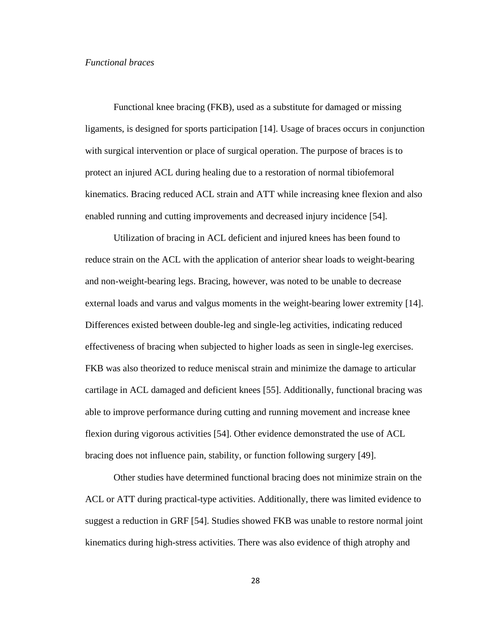#### <span id="page-37-0"></span>*Functional braces*

Functional knee bracing (FKB), used as a substitute for damaged or missing ligaments, is designed for sports participation [14]. Usage of braces occurs in conjunction with surgical intervention or place of surgical operation. The purpose of braces is to protect an injured ACL during healing due to a restoration of normal tibiofemoral kinematics. Bracing reduced ACL strain and ATT while increasing knee flexion and also enabled running and cutting improvements and decreased injury incidence [54].

Utilization of bracing in ACL deficient and injured knees has been found to reduce strain on the ACL with the application of anterior shear loads to weight-bearing and non-weight-bearing legs. Bracing, however, was noted to be unable to decrease external loads and varus and valgus moments in the weight-bearing lower extremity [14]. Differences existed between double-leg and single-leg activities, indicating reduced effectiveness of bracing when subjected to higher loads as seen in single-leg exercises. FKB was also theorized to reduce meniscal strain and minimize the damage to articular cartilage in ACL damaged and deficient knees [55]. Additionally, functional bracing was able to improve performance during cutting and running movement and increase knee flexion during vigorous activities [54]. Other evidence demonstrated the use of ACL bracing does not influence pain, stability, or function following surgery [49].

Other studies have determined functional bracing does not minimize strain on the ACL or ATT during practical-type activities. Additionally, there was limited evidence to suggest a reduction in GRF [54]. Studies showed FKB was unable to restore normal joint kinematics during high-stress activities. There was also evidence of thigh atrophy and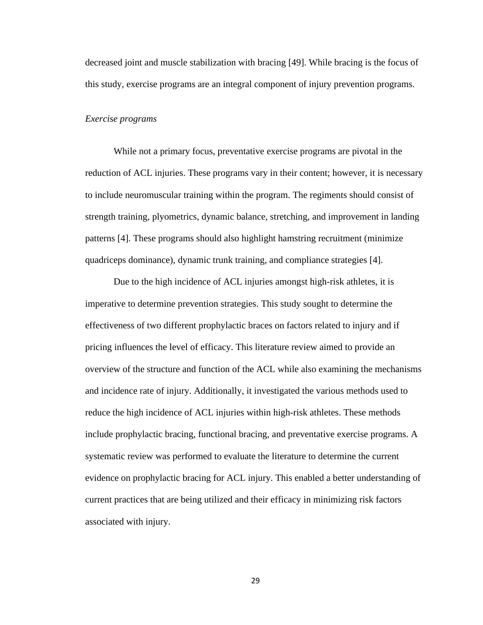decreased joint and muscle stabilization with bracing [49]. While bracing is the focus of this study, exercise programs are an integral component of injury prevention programs.

#### <span id="page-38-0"></span>*Exercise programs*

While not a primary focus, preventative exercise programs are pivotal in the reduction of ACL injuries. These programs vary in their content; however, it is necessary to include neuromuscular training within the program. The regiments should consist of strength training, plyometrics, dynamic balance, stretching, and improvement in landing patterns [4]. These programs should also highlight hamstring recruitment (minimize quadriceps dominance), dynamic trunk training, and compliance strategies [4].

Due to the high incidence of ACL injuries amongst high-risk athletes, it is imperative to determine prevention strategies. This study sought to determine the effectiveness of two different prophylactic braces on factors related to injury and if pricing influences the level of efficacy. This literature review aimed to provide an overview of the structure and function of the ACL while also examining the mechanisms and incidence rate of injury. Additionally, it investigated the various methods used to reduce the high incidence of ACL injuries within high-risk athletes. These methods include prophylactic bracing, functional bracing, and preventative exercise programs. A systematic review was performed to evaluate the literature to determine the current evidence on prophylactic bracing for ACL injury. This enabled a better understanding of current practices that are being utilized and their efficacy in minimizing risk factors associated with injury.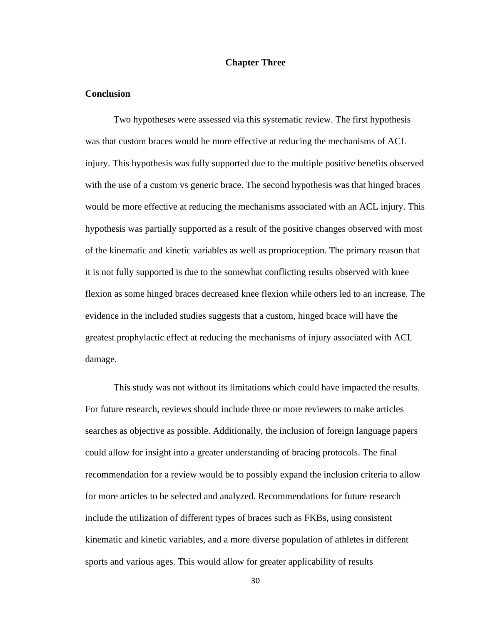#### **Chapter Three**

#### <span id="page-39-1"></span><span id="page-39-0"></span>**Conclusion**

Two hypotheses were assessed via this systematic review. The first hypothesis was that custom braces would be more effective at reducing the mechanisms of ACL injury. This hypothesis was fully supported due to the multiple positive benefits observed with the use of a custom vs generic brace. The second hypothesis was that hinged braces would be more effective at reducing the mechanisms associated with an ACL injury. This hypothesis was partially supported as a result of the positive changes observed with most of the kinematic and kinetic variables as well as proprioception. The primary reason that it is not fully supported is due to the somewhat conflicting results observed with knee flexion as some hinged braces decreased knee flexion while others led to an increase. The evidence in the included studies suggests that a custom, hinged brace will have the greatest prophylactic effect at reducing the mechanisms of injury associated with ACL damage.

This study was not without its limitations which could have impacted the results. For future research, reviews should include three or more reviewers to make articles searches as objective as possible. Additionally, the inclusion of foreign language papers could allow for insight into a greater understanding of bracing protocols. The final recommendation for a review would be to possibly expand the inclusion criteria to allow for more articles to be selected and analyzed. Recommendations for future research include the utilization of different types of braces such as FKBs, using consistent kinematic and kinetic variables, and a more diverse population of athletes in different sports and various ages. This would allow for greater applicability of results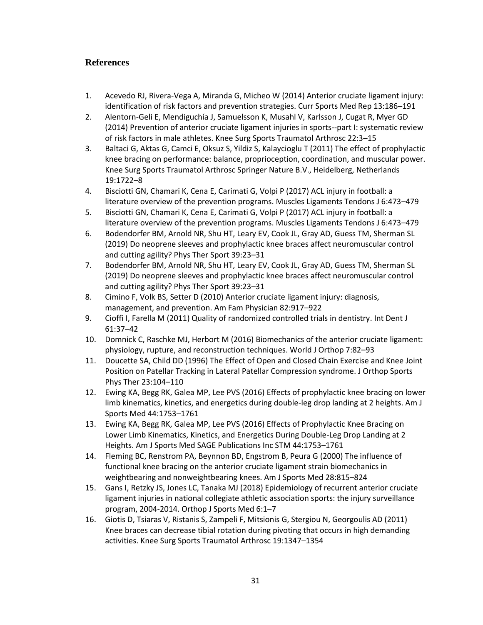# <span id="page-40-0"></span>**References**

- 1. Acevedo RJ, Rivera-Vega A, Miranda G, Micheo W (2014) Anterior cruciate ligament injury: identification of risk factors and prevention strategies. Curr Sports Med Rep 13:186–191
- 2. Alentorn-Geli E, Mendiguchía J, Samuelsson K, Musahl V, Karlsson J, Cugat R, Myer GD (2014) Prevention of anterior cruciate ligament injuries in sports--part I: systematic review of risk factors in male athletes. Knee Surg Sports Traumatol Arthrosc 22:3–15
- 3. Baltaci G, Aktas G, Camci E, Oksuz S, Yildiz S, Kalaycioglu T (2011) The effect of prophylactic knee bracing on performance: balance, proprioception, coordination, and muscular power. Knee Surg Sports Traumatol Arthrosc Springer Nature B.V., Heidelberg, Netherlands 19:1722–8
- 4. Bisciotti GN, Chamari K, Cena E, Carimati G, Volpi P (2017) ACL injury in football: a literature overview of the prevention programs. Muscles Ligaments Tendons J 6:473–479
- 5. Bisciotti GN, Chamari K, Cena E, Carimati G, Volpi P (2017) ACL injury in football: a literature overview of the prevention programs. Muscles Ligaments Tendons J 6:473–479
- 6. Bodendorfer BM, Arnold NR, Shu HT, Leary EV, Cook JL, Gray AD, Guess TM, Sherman SL (2019) Do neoprene sleeves and prophylactic knee braces affect neuromuscular control and cutting agility? Phys Ther Sport 39:23–31
- 7. Bodendorfer BM, Arnold NR, Shu HT, Leary EV, Cook JL, Gray AD, Guess TM, Sherman SL (2019) Do neoprene sleeves and prophylactic knee braces affect neuromuscular control and cutting agility? Phys Ther Sport 39:23–31
- 8. Cimino F, Volk BS, Setter D (2010) Anterior cruciate ligament injury: diagnosis, management, and prevention. Am Fam Physician 82:917–922
- 9. Cioffi I, Farella M (2011) Quality of randomized controlled trials in dentistry. Int Dent J 61:37–42
- 10. Domnick C, Raschke MJ, Herbort M (2016) Biomechanics of the anterior cruciate ligament: physiology, rupture, and reconstruction techniques. World J Orthop 7:82–93
- 11. Doucette SA, Child DD (1996) The Effect of Open and Closed Chain Exercise and Knee Joint Position on Patellar Tracking in Lateral Patellar Compression syndrome. J Orthop Sports Phys Ther 23:104–110
- 12. Ewing KA, Begg RK, Galea MP, Lee PVS (2016) Effects of prophylactic knee bracing on lower limb kinematics, kinetics, and energetics during double-leg drop landing at 2 heights. Am J Sports Med 44:1753–1761
- 13. Ewing KA, Begg RK, Galea MP, Lee PVS (2016) Effects of Prophylactic Knee Bracing on Lower Limb Kinematics, Kinetics, and Energetics During Double-Leg Drop Landing at 2 Heights. Am J Sports Med SAGE Publications Inc STM 44:1753–1761
- 14. Fleming BC, Renstrom PA, Beynnon BD, Engstrom B, Peura G (2000) The influence of functional knee bracing on the anterior cruciate ligament strain biomechanics in weightbearing and nonweightbearing knees. Am J Sports Med 28:815–824
- 15. Gans I, Retzky JS, Jones LC, Tanaka MJ (2018) Epidemiology of recurrent anterior cruciate ligament injuries in national collegiate athletic association sports: the injury surveillance program, 2004-2014. Orthop J Sports Med 6:1–7
- 16. Giotis D, Tsiaras V, Ristanis S, Zampeli F, Mitsionis G, Stergiou N, Georgoulis AD (2011) Knee braces can decrease tibial rotation during pivoting that occurs in high demanding activities. Knee Surg Sports Traumatol Arthrosc 19:1347–1354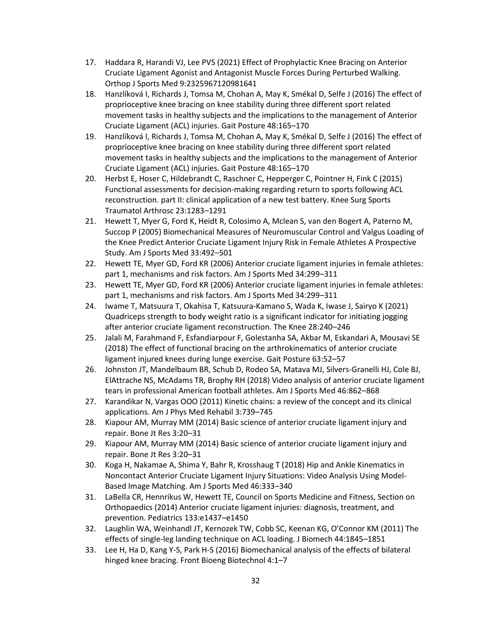- 17. Haddara R, Harandi VJ, Lee PVS (2021) Effect of Prophylactic Knee Bracing on Anterior Cruciate Ligament Agonist and Antagonist Muscle Forces During Perturbed Walking. Orthop J Sports Med 9:2325967120981641
- 18. Hanzlíková I, Richards J, Tomsa M, Chohan A, May K, Smékal D, Selfe J (2016) The effect of proprioceptive knee bracing on knee stability during three different sport related movement tasks in healthy subjects and the implications to the management of Anterior Cruciate Ligament (ACL) injuries. Gait Posture 48:165–170
- 19. Hanzlíková I, Richards J, Tomsa M, Chohan A, May K, Smékal D, Selfe J (2016) The effect of proprioceptive knee bracing on knee stability during three different sport related movement tasks in healthy subjects and the implications to the management of Anterior Cruciate Ligament (ACL) injuries. Gait Posture 48:165–170
- 20. Herbst E, Hoser C, Hildebrandt C, Raschner C, Hepperger C, Pointner H, Fink C (2015) Functional assessments for decision-making regarding return to sports following ACL reconstruction. part II: clinical application of a new test battery. Knee Surg Sports Traumatol Arthrosc 23:1283–1291
- 21. Hewett T, Myer G, Ford K, Heidt R, Colosimo A, Mclean S, van den Bogert A, Paterno M, Succop P (2005) Biomechanical Measures of Neuromuscular Control and Valgus Loading of the Knee Predict Anterior Cruciate Ligament Injury Risk in Female Athletes A Prospective Study. Am J Sports Med 33:492–501
- 22. Hewett TE, Myer GD, Ford KR (2006) Anterior cruciate ligament injuries in female athletes: part 1, mechanisms and risk factors. Am J Sports Med 34:299–311
- 23. Hewett TE, Myer GD, Ford KR (2006) Anterior cruciate ligament injuries in female athletes: part 1, mechanisms and risk factors. Am J Sports Med 34:299–311
- 24. Iwame T, Matsuura T, Okahisa T, Katsuura-Kamano S, Wada K, Iwase J, Sairyo K (2021) Quadriceps strength to body weight ratio is a significant indicator for initiating jogging after anterior cruciate ligament reconstruction. The Knee 28:240–246
- 25. Jalali M, Farahmand F, Esfandiarpour F, Golestanha SA, Akbar M, Eskandari A, Mousavi SE (2018) The effect of functional bracing on the arthrokinematics of anterior cruciate ligament injured knees during lunge exercise. Gait Posture 63:52–57
- 26. Johnston JT, Mandelbaum BR, Schub D, Rodeo SA, Matava MJ, Silvers-Granelli HJ, Cole BJ, ElAttrache NS, McAdams TR, Brophy RH (2018) Video analysis of anterior cruciate ligament tears in professional American football athletes. Am J Sports Med 46:862–868
- 27. Karandikar N, Vargas OOO (2011) Kinetic chains: a review of the concept and its clinical applications. Am J Phys Med Rehabil 3:739–745
- 28. Kiapour AM, Murray MM (2014) Basic science of anterior cruciate ligament injury and repair. Bone Jt Res 3:20–31
- 29. Kiapour AM, Murray MM (2014) Basic science of anterior cruciate ligament injury and repair. Bone Jt Res 3:20–31
- 30. Koga H, Nakamae A, Shima Y, Bahr R, Krosshaug T (2018) Hip and Ankle Kinematics in Noncontact Anterior Cruciate Ligament Injury Situations: Video Analysis Using Model-Based Image Matching. Am J Sports Med 46:333–340
- 31. LaBella CR, Hennrikus W, Hewett TE, Council on Sports Medicine and Fitness, Section on Orthopaedics (2014) Anterior cruciate ligament injuries: diagnosis, treatment, and prevention. Pediatrics 133:e1437–e1450
- 32. Laughlin WA, Weinhandl JT, Kernozek TW, Cobb SC, Keenan KG, O'Connor KM (2011) The effects of single-leg landing technique on ACL loading. J Biomech 44:1845–1851
- 33. Lee H, Ha D, Kang Y-S, Park H-S (2016) Biomechanical analysis of the effects of bilateral hinged knee bracing. Front Bioeng Biotechnol 4:1–7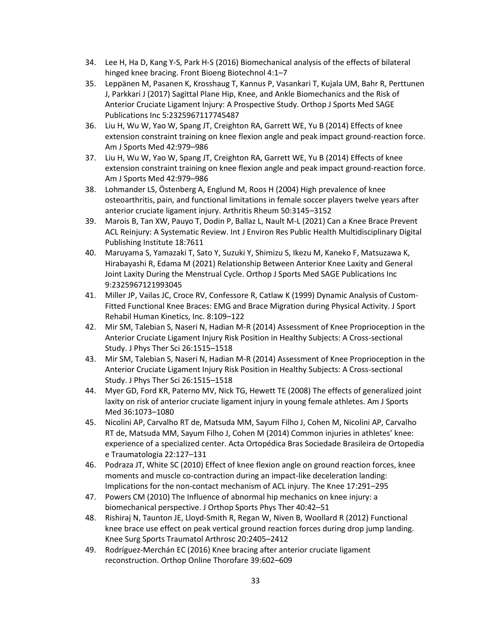- 34. Lee H, Ha D, Kang Y-S, Park H-S (2016) Biomechanical analysis of the effects of bilateral hinged knee bracing. Front Bioeng Biotechnol 4:1–7
- 35. Leppänen M, Pasanen K, Krosshaug T, Kannus P, Vasankari T, Kujala UM, Bahr R, Perttunen J, Parkkari J (2017) Sagittal Plane Hip, Knee, and Ankle Biomechanics and the Risk of Anterior Cruciate Ligament Injury: A Prospective Study. Orthop J Sports Med SAGE Publications Inc 5:2325967117745487
- 36. Liu H, Wu W, Yao W, Spang JT, Creighton RA, Garrett WE, Yu B (2014) Effects of knee extension constraint training on knee flexion angle and peak impact ground-reaction force. Am J Sports Med 42:979–986
- 37. Liu H, Wu W, Yao W, Spang JT, Creighton RA, Garrett WE, Yu B (2014) Effects of knee extension constraint training on knee flexion angle and peak impact ground-reaction force. Am J Sports Med 42:979–986
- 38. Lohmander LS, Östenberg A, Englund M, Roos H (2004) High prevalence of knee osteoarthritis, pain, and functional limitations in female soccer players twelve years after anterior cruciate ligament injury. Arthritis Rheum 50:3145–3152
- 39. Marois B, Tan XW, Pauyo T, Dodin P, Ballaz L, Nault M-L (2021) Can a Knee Brace Prevent ACL Reinjury: A Systematic Review. Int J Environ Res Public Health Multidisciplinary Digital Publishing Institute 18:7611
- 40. Maruyama S, Yamazaki T, Sato Y, Suzuki Y, Shimizu S, Ikezu M, Kaneko F, Matsuzawa K, Hirabayashi R, Edama M (2021) Relationship Between Anterior Knee Laxity and General Joint Laxity During the Menstrual Cycle. Orthop J Sports Med SAGE Publications Inc 9:2325967121993045
- 41. Miller JP, Vailas JC, Croce RV, Confessore R, Catlaw K (1999) Dynamic Analysis of Custom-Fitted Functional Knee Braces: EMG and Brace Migration during Physical Activity. J Sport Rehabil Human Kinetics, Inc. 8:109–122
- 42. Mir SM, Talebian S, Naseri N, Hadian M-R (2014) Assessment of Knee Proprioception in the Anterior Cruciate Ligament Injury Risk Position in Healthy Subjects: A Cross-sectional Study. J Phys Ther Sci 26:1515–1518
- 43. Mir SM, Talebian S, Naseri N, Hadian M-R (2014) Assessment of Knee Proprioception in the Anterior Cruciate Ligament Injury Risk Position in Healthy Subjects: A Cross-sectional Study. J Phys Ther Sci 26:1515–1518
- 44. Myer GD, Ford KR, Paterno MV, Nick TG, Hewett TE (2008) The effects of generalized joint laxity on risk of anterior cruciate ligament injury in young female athletes. Am J Sports Med 36:1073–1080
- 45. Nicolini AP, Carvalho RT de, Matsuda MM, Sayum Filho J, Cohen M, Nicolini AP, Carvalho RT de, Matsuda MM, Sayum Filho J, Cohen M (2014) Common injuries in athletes' knee: experience of a specialized center. Acta Ortopédica Bras Sociedade Brasileira de Ortopedia e Traumatologia 22:127–131
- 46. Podraza JT, White SC (2010) Effect of knee flexion angle on ground reaction forces, knee moments and muscle co-contraction during an impact-like deceleration landing: Implications for the non-contact mechanism of ACL injury. The Knee 17:291–295
- 47. Powers CM (2010) The Influence of abnormal hip mechanics on knee injury: a biomechanical perspective. J Orthop Sports Phys Ther 40:42–51
- 48. Rishiraj N, Taunton JE, Lloyd-Smith R, Regan W, Niven B, Woollard R (2012) Functional knee brace use effect on peak vertical ground reaction forces during drop jump landing. Knee Surg Sports Traumatol Arthrosc 20:2405–2412
- 49. Rodríguez-Merchán EC (2016) Knee bracing after anterior cruciate ligament reconstruction. Orthop Online Thorofare 39:602–609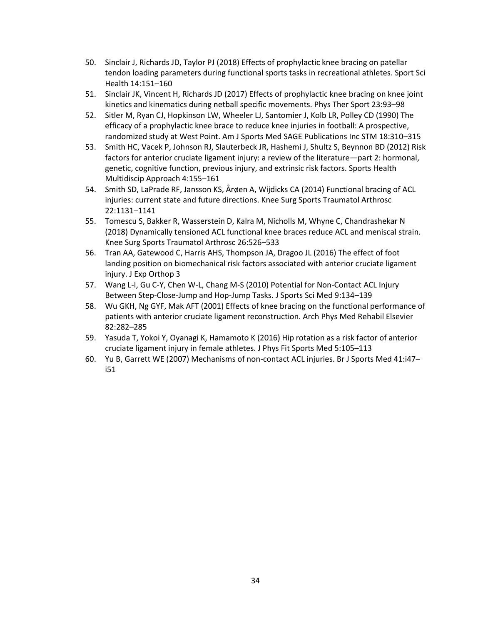- 50. Sinclair J, Richards JD, Taylor PJ (2018) Effects of prophylactic knee bracing on patellar tendon loading parameters during functional sports tasks in recreational athletes. Sport Sci Health 14:151–160
- 51. Sinclair JK, Vincent H, Richards JD (2017) Effects of prophylactic knee bracing on knee joint kinetics and kinematics during netball specific movements. Phys Ther Sport 23:93–98
- 52. Sitler M, Ryan CJ, Hopkinson LW, Wheeler LJ, Santomier J, Kolb LR, Polley CD (1990) The efficacy of a prophylactic knee brace to reduce knee injuries in football: A prospective, randomized study at West Point. Am J Sports Med SAGE Publications Inc STM 18:310–315
- 53. Smith HC, Vacek P, Johnson RJ, Slauterbeck JR, Hashemi J, Shultz S, Beynnon BD (2012) Risk factors for anterior cruciate ligament injury: a review of the literature—part 2: hormonal, genetic, cognitive function, previous injury, and extrinsic risk factors. Sports Health Multidiscip Approach 4:155–161
- 54. Smith SD, LaPrade RF, Jansson KS, Årøen A, Wijdicks CA (2014) Functional bracing of ACL injuries: current state and future directions. Knee Surg Sports Traumatol Arthrosc 22:1131–1141
- 55. Tomescu S, Bakker R, Wasserstein D, Kalra M, Nicholls M, Whyne C, Chandrashekar N (2018) Dynamically tensioned ACL functional knee braces reduce ACL and meniscal strain. Knee Surg Sports Traumatol Arthrosc 26:526–533
- 56. Tran AA, Gatewood C, Harris AHS, Thompson JA, Dragoo JL (2016) The effect of foot landing position on biomechanical risk factors associated with anterior cruciate ligament injury. J Exp Orthop 3
- 57. Wang L-I, Gu C-Y, Chen W-L, Chang M-S (2010) Potential for Non-Contact ACL Injury Between Step-Close-Jump and Hop-Jump Tasks. J Sports Sci Med 9:134–139
- 58. Wu GKH, Ng GYF, Mak AFT (2001) Effects of knee bracing on the functional performance of patients with anterior cruciate ligament reconstruction. Arch Phys Med Rehabil Elsevier 82:282–285
- 59. Yasuda T, Yokoi Y, Oyanagi K, Hamamoto K (2016) Hip rotation as a risk factor of anterior cruciate ligament injury in female athletes. J Phys Fit Sports Med 5:105–113
- 60. Yu B, Garrett WE (2007) Mechanisms of non-contact ACL injuries. Br J Sports Med 41:i47– i51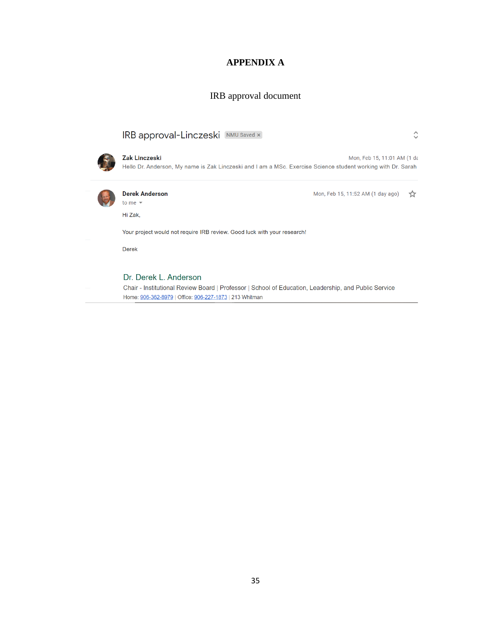# **APPENDIX A**

### IRB approval document

# <span id="page-44-1"></span><span id="page-44-0"></span>IRB approval-Linczeski [NMU Saved x]



Zak Linczeski Mon, Feb 15, 11:01 AM (1 dε Hello Dr. Anderson, My name is Zak Linczeski and I am a MSc. Exercise Science student working with Dr. Sarah



#### **Derek Anderson** to me  $\sim$

Mon, Feb 15, 11:52 AM (1 day ago)  $\frac{1}{\sqrt{2}}$ 

 $\hat{\mathbf{C}}$ 

Your project would not require IRB review. Good luck with your research!

Derek

Hi Zak,

#### Dr. Derek L. Anderson

Chair - Institutional Review Board | Professor | School of Education, Leadership, and Public Service Home: 906-362-8979 | Office: 906-227-1873 | 213 Whitman